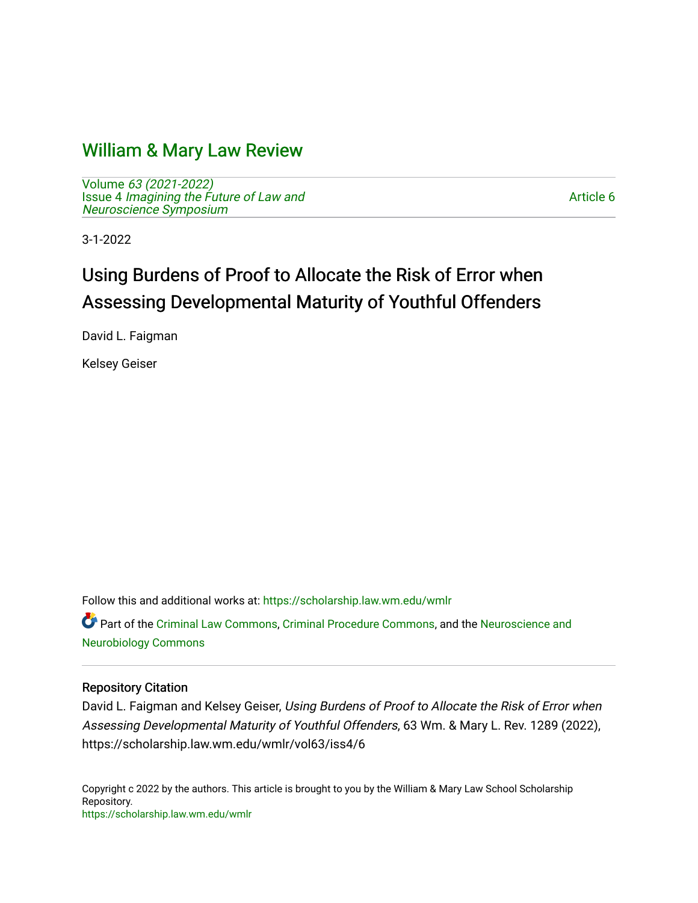## [William & Mary Law Review](https://scholarship.law.wm.edu/wmlr)

Volume [63 \(2021-2022\)](https://scholarship.law.wm.edu/wmlr/vol63)  Issue 4 [Imagining the Future of Law and](https://scholarship.law.wm.edu/wmlr/vol63/iss4)  [Neuroscience Symposium](https://scholarship.law.wm.edu/wmlr/vol63/iss4) 

[Article 6](https://scholarship.law.wm.edu/wmlr/vol63/iss4/6) 

3-1-2022

# Using Burdens of Proof to Allocate the Risk of Error when Assessing Developmental Maturity of Youthful Offenders

David L. Faigman

Kelsey Geiser

Follow this and additional works at: [https://scholarship.law.wm.edu/wmlr](https://scholarship.law.wm.edu/wmlr?utm_source=scholarship.law.wm.edu%2Fwmlr%2Fvol63%2Fiss4%2F6&utm_medium=PDF&utm_campaign=PDFCoverPages)

Part of the [Criminal Law Commons,](https://network.bepress.com/hgg/discipline/912?utm_source=scholarship.law.wm.edu%2Fwmlr%2Fvol63%2Fiss4%2F6&utm_medium=PDF&utm_campaign=PDFCoverPages) [Criminal Procedure Commons,](https://network.bepress.com/hgg/discipline/1073?utm_source=scholarship.law.wm.edu%2Fwmlr%2Fvol63%2Fiss4%2F6&utm_medium=PDF&utm_campaign=PDFCoverPages) and the [Neuroscience and](https://network.bepress.com/hgg/discipline/55?utm_source=scholarship.law.wm.edu%2Fwmlr%2Fvol63%2Fiss4%2F6&utm_medium=PDF&utm_campaign=PDFCoverPages)  [Neurobiology Commons](https://network.bepress.com/hgg/discipline/55?utm_source=scholarship.law.wm.edu%2Fwmlr%2Fvol63%2Fiss4%2F6&utm_medium=PDF&utm_campaign=PDFCoverPages) 

#### Repository Citation

David L. Faigman and Kelsey Geiser, Using Burdens of Proof to Allocate the Risk of Error when Assessing Developmental Maturity of Youthful Offenders, 63 Wm. & Mary L. Rev. 1289 (2022), https://scholarship.law.wm.edu/wmlr/vol63/iss4/6

Copyright c 2022 by the authors. This article is brought to you by the William & Mary Law School Scholarship Repository. <https://scholarship.law.wm.edu/wmlr>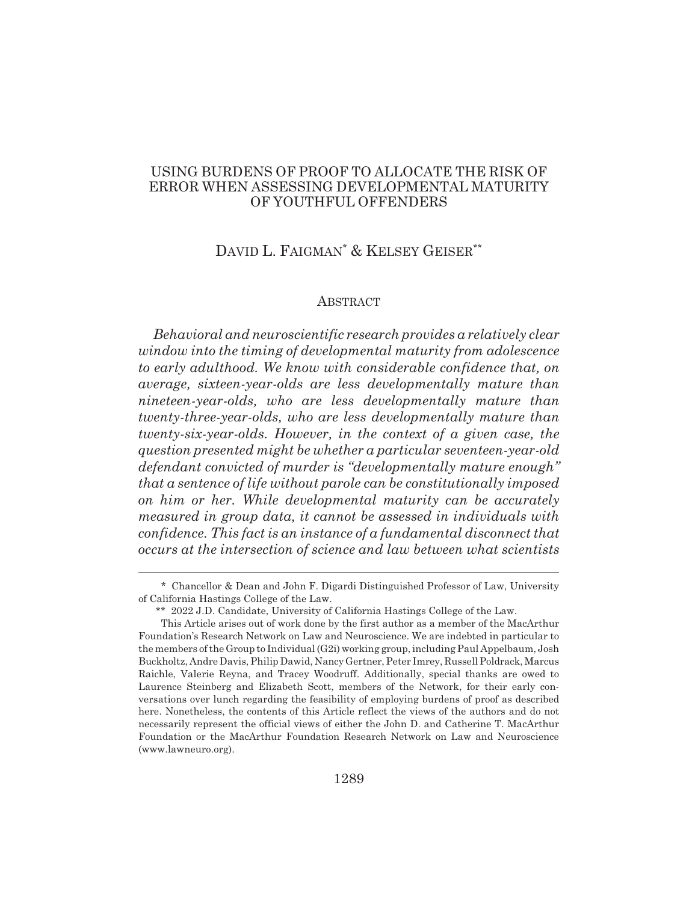## USING BURDENS OF PROOF TO ALLOCATE THE RISK OF ERROR WHEN ASSESSING DEVELOPMENTAL MATURITY OF YOUTHFUL OFFENDERS

## DAVID L. FAIGMAN<sup>\*</sup> & KELSEY GEISER<sup>\*\*</sup>

#### ABSTRACT

*Behavioral and neuroscientific research provides a relatively clear window into the timing of developmental maturity from adolescence to early adulthood. We know with considerable confidence that, on average, sixteen-year-olds are less developmentally mature than nineteen-year-olds, who are less developmentally mature than twenty-three-year-olds, who are less developmentally mature than twenty-six-year-olds. However, in the context of a given case, the question presented might be whether a particular seventeen-year-old defendant convicted of murder is "developmentally mature enough" that a sentence of life without parole can be constitutionally imposed on him or her. While developmental maturity can be accurately measured in group data, it cannot be assessed in individuals with confidence. This fact is an instance of a fundamental disconnect that occurs at the intersection of science and law between what scientists*

<sup>\*</sup> Chancellor & Dean and John F. Digardi Distinguished Professor of Law, University of California Hastings College of the Law.

<sup>\*\* 2022</sup> J.D. Candidate, University of California Hastings College of the Law.

This Article arises out of work done by the first author as a member of the MacArthur Foundation's Research Network on Law and Neuroscience. We are indebted in particular to the members of the Group to Individual (G2i) working group, including Paul Appelbaum, Josh Buckholtz, Andre Davis, Philip Dawid, Nancy Gertner, Peter Imrey, Russell Poldrack, Marcus Raichle, Valerie Reyna, and Tracey Woodruff. Additionally, special thanks are owed to Laurence Steinberg and Elizabeth Scott, members of the Network, for their early conversations over lunch regarding the feasibility of employing burdens of proof as described here. Nonetheless, the contents of this Article reflect the views of the authors and do not necessarily represent the official views of either the John D. and Catherine T. MacArthur Foundation or the MacArthur Foundation Research Network on Law and Neuroscience (www.lawneuro.org).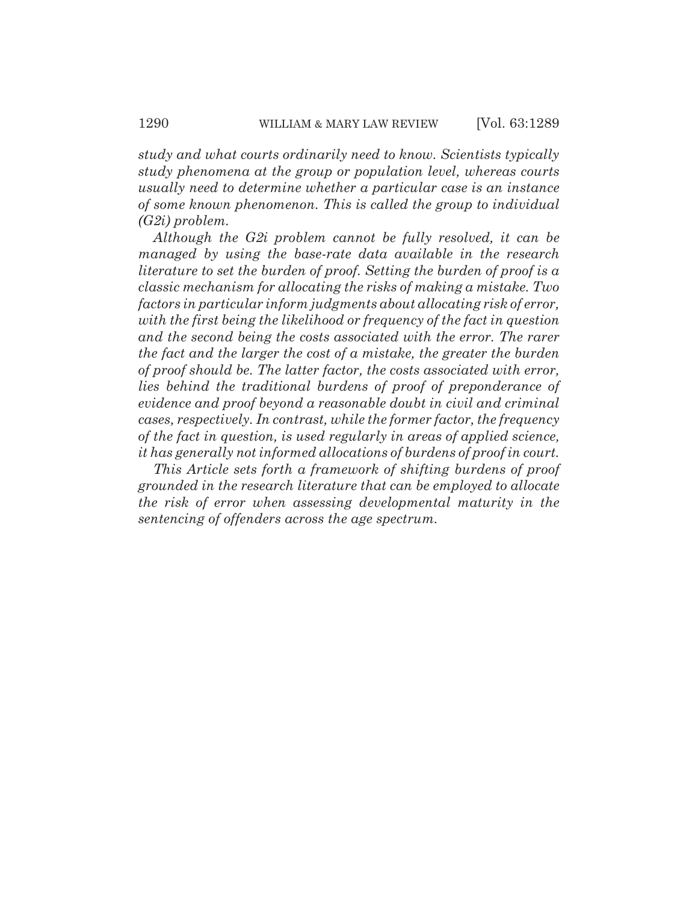*study and what courts ordinarily need to know. Scientists typically study phenomena at the group or population level, whereas courts usually need to determine whether a particular case is an instance of some known phenomenon. This is called the group to individual (G2i) problem.*

*Although the G2i problem cannot be fully resolved, it can be managed by using the base-rate data available in the research literature to set the burden of proof. Setting the burden of proof is a classic mechanism for allocating the risks of making a mistake. Two factors in particular inform judgments about allocating risk of error, with the first being the likelihood or frequency of the fact in question and the second being the costs associated with the error. The rarer the fact and the larger the cost of a mistake, the greater the burden of proof should be. The latter factor, the costs associated with error, lies behind the traditional burdens of proof of preponderance of evidence and proof beyond a reasonable doubt in civil and criminal cases, respectively. In contrast, while the former factor, the frequency of the fact in question, is used regularly in areas of applied science, it has generally not informed allocations of burdens of proof in court.*

*This Article sets forth a framework of shifting burdens of proof grounded in the research literature that can be employed to allocate the risk of error when assessing developmental maturity in the sentencing of offenders across the age spectrum.*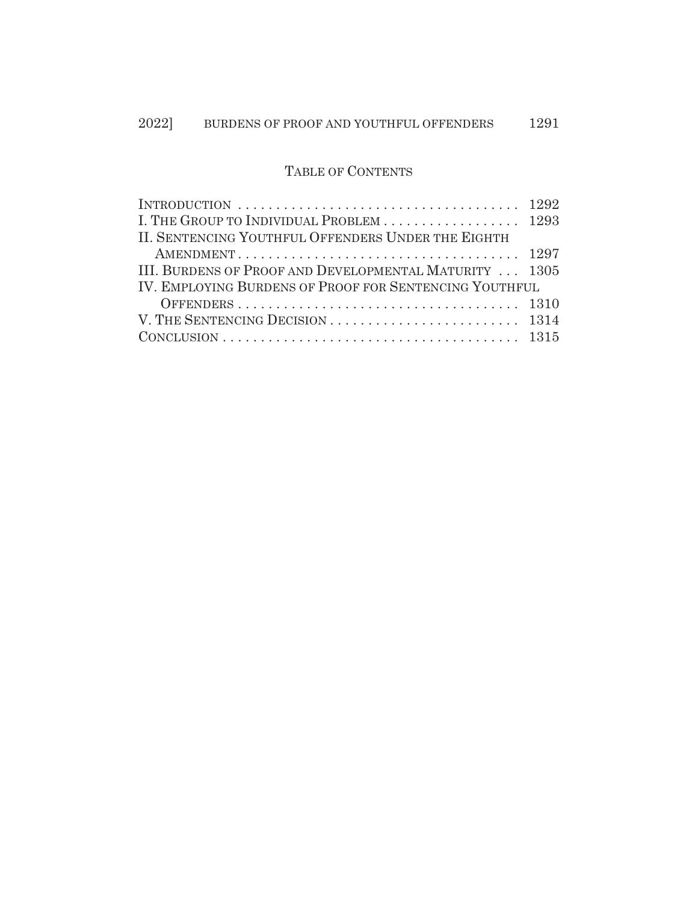## TABLE OF CONTENTS

| INTRODUCTION $\ldots \ldots \ldots \ldots \ldots \ldots \ldots \ldots \ldots \ldots \ldots 1292$        |  |  |  |  |
|---------------------------------------------------------------------------------------------------------|--|--|--|--|
| I. THE GROUP TO INDIVIDUAL PROBLEM  1293                                                                |  |  |  |  |
| II. SENTENCING YOUTHFUL OFFENDERS UNDER THE EIGHTH                                                      |  |  |  |  |
|                                                                                                         |  |  |  |  |
| III. BURDENS OF PROOF AND DEVELOPMENTAL MATURITY  1305                                                  |  |  |  |  |
| <b>IV. EMPLOYING BURDENS OF PROOF FOR SENTENCING YOUTHFUL</b>                                           |  |  |  |  |
|                                                                                                         |  |  |  |  |
| V. THE SENTENCING DECISION $\ldots$ $\ldots$ $\ldots$ $\ldots$ $\ldots$ $\ldots$ $\ldots$ $\ldots$ 1314 |  |  |  |  |
|                                                                                                         |  |  |  |  |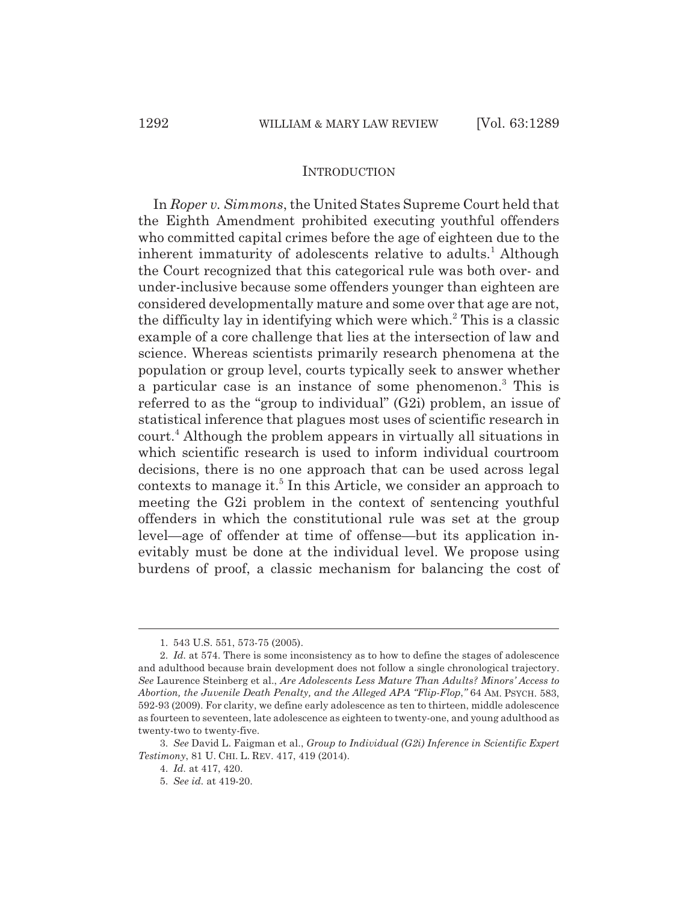#### INTRODUCTION

In *Roper v. Simmons*, the United States Supreme Court held that the Eighth Amendment prohibited executing youthful offenders who committed capital crimes before the age of eighteen due to the inherent immaturity of adolescents relative to adults.<sup>1</sup> Although the Court recognized that this categorical rule was both over- and under-inclusive because some offenders younger than eighteen are considered developmentally mature and some over that age are not, the difficulty lay in identifying which were which.<sup>2</sup> This is a classic example of a core challenge that lies at the intersection of law and science. Whereas scientists primarily research phenomena at the population or group level, courts typically seek to answer whether a particular case is an instance of some phenomenon.<sup>3</sup> This is referred to as the "group to individual" (G2i) problem, an issue of statistical inference that plagues most uses of scientific research in court.<sup>4</sup> Although the problem appears in virtually all situations in which scientific research is used to inform individual courtroom decisions, there is no one approach that can be used across legal contexts to manage it.<sup>5</sup> In this Article, we consider an approach to meeting the G2i problem in the context of sentencing youthful offenders in which the constitutional rule was set at the group level—age of offender at time of offense—but its application inevitably must be done at the individual level. We propose using burdens of proof, a classic mechanism for balancing the cost of

<sup>1. 543</sup> U.S. 551, 573-75 (2005).

<sup>2.</sup> *Id.* at 574. There is some inconsistency as to how to define the stages of adolescence and adulthood because brain development does not follow a single chronological trajectory. *See* Laurence Steinberg et al., *Are Adolescents Less Mature Than Adults? Minors' Access to Abortion, the Juvenile Death Penalty, and the Alleged APA "Flip-Flop*,*"* 64 AM. PSYCH. 583, 592-93 (2009). For clarity, we define early adolescence as ten to thirteen, middle adolescence as fourteen to seventeen, late adolescence as eighteen to twenty-one, and young adulthood as twenty-two to twenty-five.

<sup>3.</sup> *See* David L. Faigman et al., *Group to Individual (G2i) Inference in Scientific Expert Testimony*, 81 U. CHI. L. REV. 417, 419 (2014).

<sup>4.</sup> *Id.* at 417, 420.

<sup>5.</sup> *See id.* at 419-20.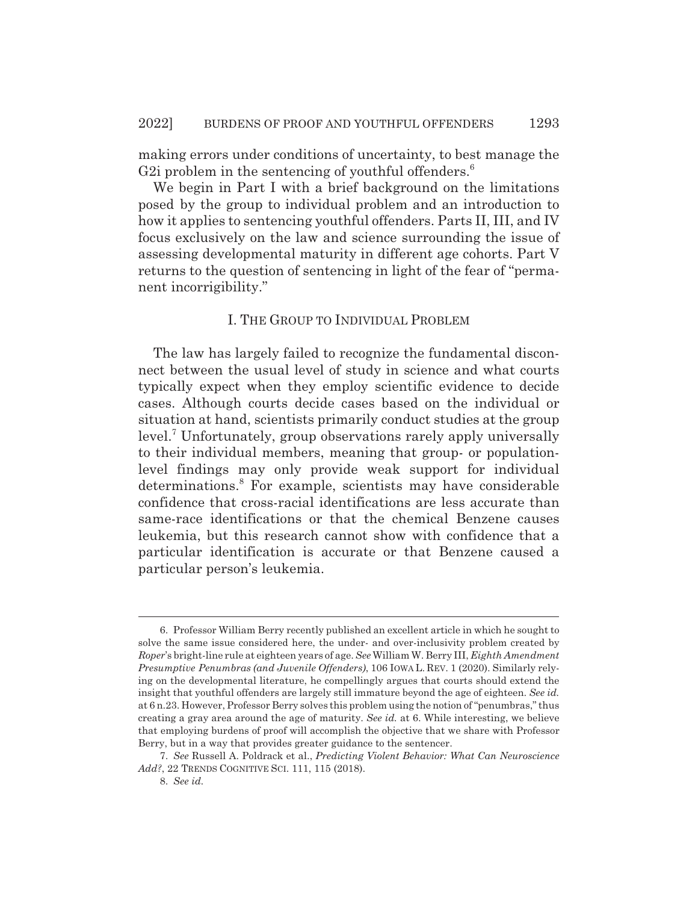making errors under conditions of uncertainty, to best manage the G2i problem in the sentencing of youthful offenders.<sup>6</sup>

We begin in Part I with a brief background on the limitations posed by the group to individual problem and an introduction to how it applies to sentencing youthful offenders. Parts II, III, and IV focus exclusively on the law and science surrounding the issue of assessing developmental maturity in different age cohorts. Part V returns to the question of sentencing in light of the fear of "permanent incorrigibility."

#### I. THE GROUP TO INDIVIDUAL PROBLEM

The law has largely failed to recognize the fundamental disconnect between the usual level of study in science and what courts typically expect when they employ scientific evidence to decide cases. Although courts decide cases based on the individual or situation at hand, scientists primarily conduct studies at the group level.<sup>7</sup> Unfortunately, group observations rarely apply universally to their individual members, meaning that group- or populationlevel findings may only provide weak support for individual determinations.<sup>8</sup> For example, scientists may have considerable confidence that cross-racial identifications are less accurate than same-race identifications or that the chemical Benzene causes leukemia, but this research cannot show with confidence that a particular identification is accurate or that Benzene caused a particular person's leukemia.

<sup>6.</sup> Professor William Berry recently published an excellent article in which he sought to solve the same issue considered here, the under- and over-inclusivity problem created by *Roper*'s bright-line rule at eighteen years of age. *See* William W. Berry III, *Eighth Amendment Presumptive Penumbras (and Juvenile Offenders)*, 106 IOWA L. REV. 1 (2020). Similarly relying on the developmental literature, he compellingly argues that courts should extend the insight that youthful offenders are largely still immature beyond the age of eighteen. *See id.* at 6 n.23. However, Professor Berry solves this problem using the notion of "penumbras," thus creating a gray area around the age of maturity. *See id.* at 6. While interesting, we believe that employing burdens of proof will accomplish the objective that we share with Professor Berry, but in a way that provides greater guidance to the sentencer.

<sup>7.</sup> *See* Russell A. Poldrack et al., *Predicting Violent Behavior: What Can Neuroscience Add?*, 22 TRENDS COGNITIVE SCI. 111, 115 (2018).

<sup>8.</sup> *See id.*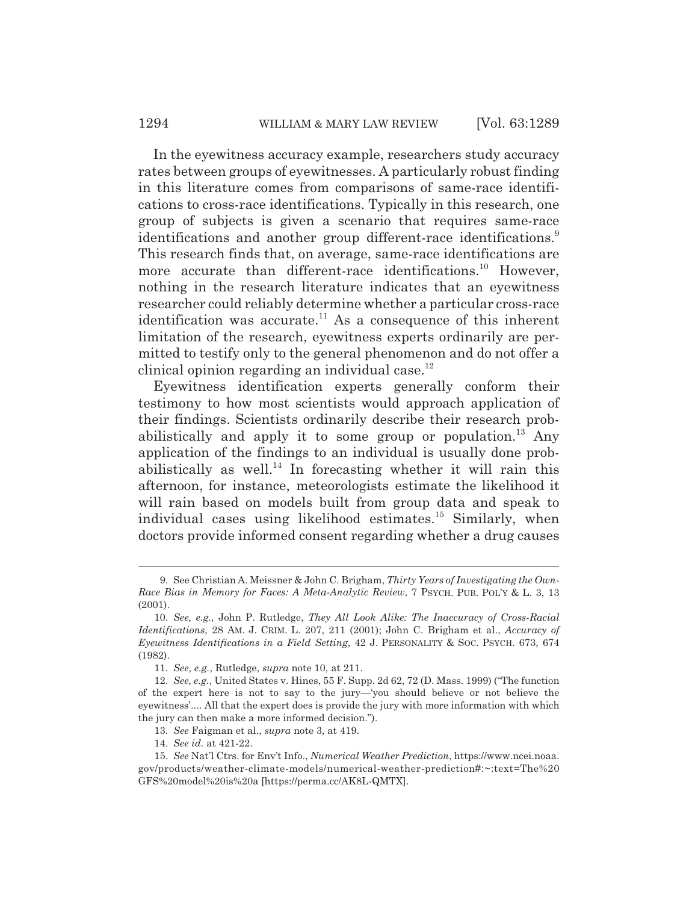In the eyewitness accuracy example, researchers study accuracy rates between groups of eyewitnesses. A particularly robust finding in this literature comes from comparisons of same-race identifications to cross-race identifications. Typically in this research, one group of subjects is given a scenario that requires same-race identifications and another group different-race identifications.<sup>9</sup> This research finds that, on average, same-race identifications are more accurate than different-race identifications.<sup>10</sup> However, nothing in the research literature indicates that an eyewitness researcher could reliably determine whether a particular cross-race identification was accurate.<sup>11</sup> As a consequence of this inherent limitation of the research, eyewitness experts ordinarily are permitted to testify only to the general phenomenon and do not offer a clinical opinion regarding an individual case. $^{12}$ 

Eyewitness identification experts generally conform their testimony to how most scientists would approach application of their findings. Scientists ordinarily describe their research probabilistically and apply it to some group or population.<sup>13</sup> Any application of the findings to an individual is usually done probabilistically as well.<sup>14</sup> In forecasting whether it will rain this afternoon, for instance, meteorologists estimate the likelihood it will rain based on models built from group data and speak to individual cases using likelihood estimates.<sup>15</sup> Similarly, when doctors provide informed consent regarding whether a drug causes

13. *See* Faigman et al., *supra* note 3, at 419.

<sup>9.</sup> See Christian A. Meissner & John C. Brigham, *Thirty Years of Investigating the Own-Race Bias in Memory for Faces: A Meta-Analytic Review*, 7 PSYCH. PUB. POL'Y & L. 3, 13 (2001).

<sup>10.</sup> *See, e.g.*, John P. Rutledge, *They All Look Alike: The Inaccuracy of Cross-Racial Identifications*, 28 AM. J. CRIM. L. 207, 211 (2001); John C. Brigham et al., *Accuracy of Eyewitness Identifications in a Field Setting*, 42 J. PERSONALITY & SOC. PSYCH. 673, 674 (1982).

<sup>11.</sup> *See, e.g.*, Rutledge, *supra* note 10, at 211.

<sup>12.</sup> *See, e.g.*, United States v. Hines, 55 F. Supp. 2d 62, 72 (D. Mass. 1999) ("The function of the expert here is not to say to the jury—'you should believe or not believe the eyewitness'.... All that the expert does is provide the jury with more information with which the jury can then make a more informed decision.").

<sup>14.</sup> *See id.* at 421-22.

<sup>15.</sup> *See* Nat'l Ctrs. for Env't Info., *Numerical Weather Prediction*, https://www.ncei.noaa. gov/products/weather-climate-models/numerical-weather-prediction#:~:text=The%20 GFS%20model%20is%20a [https://perma.cc/AK8L-QMTX].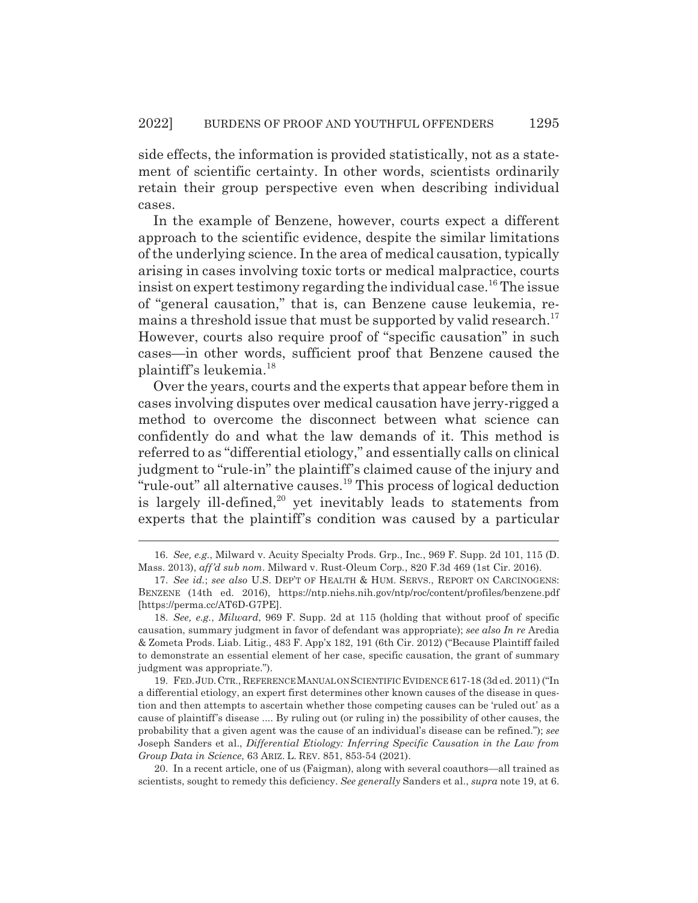side effects, the information is provided statistically, not as a statement of scientific certainty. In other words, scientists ordinarily retain their group perspective even when describing individual cases.

In the example of Benzene, however, courts expect a different approach to the scientific evidence, despite the similar limitations of the underlying science. In the area of medical causation, typically arising in cases involving toxic torts or medical malpractice, courts insist on expert testimony regarding the individual case.<sup>16</sup> The issue of "general causation," that is, can Benzene cause leukemia, remains a threshold issue that must be supported by valid research.<sup>17</sup> However, courts also require proof of "specific causation" in such cases—in other words, sufficient proof that Benzene caused the plaintiff's leukemia.18

Over the years, courts and the experts that appear before them in cases involving disputes over medical causation have jerry-rigged a method to overcome the disconnect between what science can confidently do and what the law demands of it. This method is referred to as "differential etiology," and essentially calls on clinical judgment to "rule-in" the plaintiff's claimed cause of the injury and "rule-out" all alternative causes.19 This process of logical deduction is largely ill-defined, $20$  yet inevitably leads to statements from experts that the plaintiff's condition was caused by a particular

<sup>16.</sup> *See, e.g.*, Milward v. Acuity Specialty Prods. Grp., Inc*.*, 969 F. Supp. 2d 101, 115 (D. Mass. 2013), *aff'd sub nom*. Milward v. Rust-Oleum Corp*.*, 820 F.3d 469 (1st Cir. 2016).

<sup>17.</sup> *See id.*; *see also* U.S. DEP'T OF HEALTH & HUM. SERVS., REPORT ON CARCINOGENS: BENZENE (14th ed. 2016), https://ntp.niehs.nih.gov/ntp/roc/content/profiles/benzene.pdf [https://perma.cc/AT6D-G7PE].

<sup>18.</sup> *See, e.g.*, *Milward*, 969 F. Supp. 2d at 115 (holding that without proof of specific causation, summary judgment in favor of defendant was appropriate); *see also In re* Aredia & Zometa Prods. Liab. Litig., 483 F. App'x 182, 191 (6th Cir. 2012) ("Because Plaintiff failed to demonstrate an essential element of her case, specific causation, the grant of summary judgment was appropriate.").

<sup>19.</sup> FED.JUD.CTR., REFERENCE MANUAL ON SCIENTIFIC EVIDENCE 617-18 (3d ed. 2011) ("In a differential etiology, an expert first determines other known causes of the disease in question and then attempts to ascertain whether those competing causes can be 'ruled out' as a cause of plaintiff's disease .... By ruling out (or ruling in) the possibility of other causes, the probability that a given agent was the cause of an individual's disease can be refined."); *see* Joseph Sanders et al., *Differential Etiology: Inferring Specific Causation in the Law from Group Data in Science*, 63 ARIZ. L. REV. 851, 853-54 (2021).

<sup>20.</sup> In a recent article, one of us (Faigman), along with several coauthors—all trained as scientists, sought to remedy this deficiency. *See generally* Sanders et al., *supra* note 19, at 6.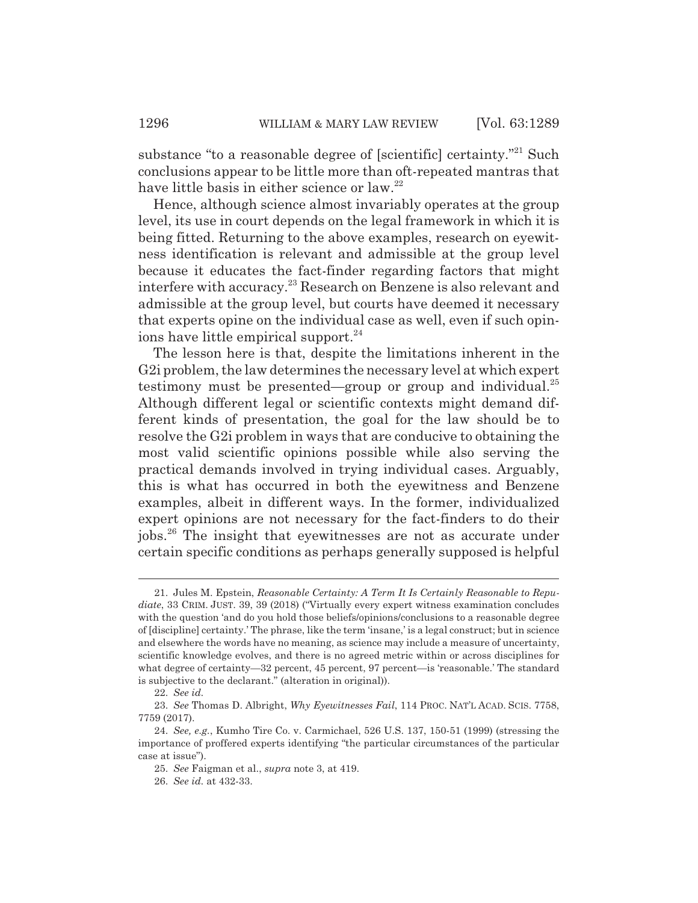substance "to a reasonable degree of [scientific] certainty."<sup>21</sup> Such conclusions appear to be little more than oft-repeated mantras that have little basis in either science or law.<sup>22</sup>

Hence, although science almost invariably operates at the group level, its use in court depends on the legal framework in which it is being fitted. Returning to the above examples, research on eyewitness identification is relevant and admissible at the group level because it educates the fact-finder regarding factors that might interfere with accuracy.23 Research on Benzene is also relevant and admissible at the group level, but courts have deemed it necessary that experts opine on the individual case as well, even if such opinions have little empirical support.<sup>24</sup>

The lesson here is that, despite the limitations inherent in the G2i problem, the law determines the necessary level at which expert testimony must be presented—group or group and individual.<sup>25</sup> Although different legal or scientific contexts might demand different kinds of presentation, the goal for the law should be to resolve the G2i problem in ways that are conducive to obtaining the most valid scientific opinions possible while also serving the practical demands involved in trying individual cases. Arguably, this is what has occurred in both the eyewitness and Benzene examples, albeit in different ways. In the former, individualized expert opinions are not necessary for the fact-finders to do their jobs.26 The insight that eyewitnesses are not as accurate under certain specific conditions as perhaps generally supposed is helpful

<sup>21.</sup> Jules M. Epstein, *Reasonable Certainty: A Term It Is Certainly Reasonable to Repudiate*, 33 CRIM. JUST. 39, 39 (2018) ("Virtually every expert witness examination concludes with the question 'and do you hold those beliefs/opinions/conclusions to a reasonable degree of [discipline] certainty.' The phrase, like the term 'insane,' is a legal construct; but in science and elsewhere the words have no meaning, as science may include a measure of uncertainty, scientific knowledge evolves, and there is no agreed metric within or across disciplines for what degree of certainty—32 percent, 45 percent, 97 percent—is 'reasonable.' The standard is subjective to the declarant." (alteration in original)).

<sup>22.</sup> *See id.*

<sup>23.</sup> *See* Thomas D. Albright, *Why Eyewitnesses Fail*, 114 PROC. NAT'L ACAD. SCIS. 7758, 7759 (2017).

<sup>24.</sup> *See, e.g.*, Kumho Tire Co. v. Carmichael, 526 U.S. 137, 150-51 (1999) (stressing the importance of proffered experts identifying "the particular circumstances of the particular case at issue").

<sup>25.</sup> *See* Faigman et al., *supra* note 3, at 419.

<sup>26.</sup> *See id.* at 432-33.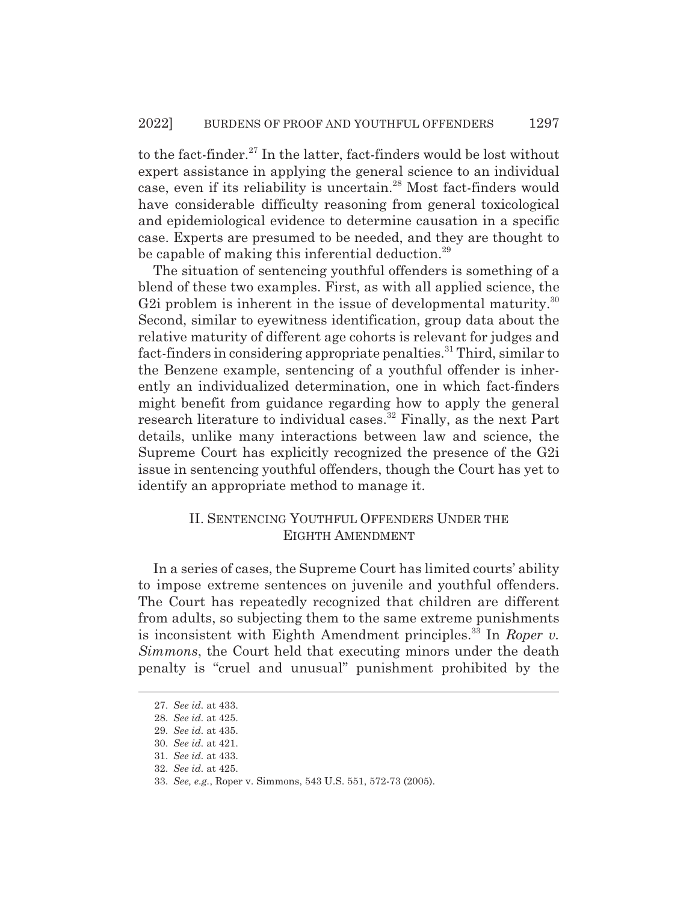to the fact-finder.<sup>27</sup> In the latter, fact-finders would be lost without expert assistance in applying the general science to an individual case, even if its reliability is uncertain.<sup>28</sup> Most fact-finders would have considerable difficulty reasoning from general toxicological and epidemiological evidence to determine causation in a specific case. Experts are presumed to be needed, and they are thought to be capable of making this inferential deduction.<sup>29</sup>

The situation of sentencing youthful offenders is something of a blend of these two examples. First, as with all applied science, the G2i problem is inherent in the issue of developmental maturity.<sup>30</sup> Second, similar to eyewitness identification, group data about the relative maturity of different age cohorts is relevant for judges and fact-finders in considering appropriate penalties.<sup>31</sup> Third, similar to the Benzene example, sentencing of a youthful offender is inherently an individualized determination, one in which fact-finders might benefit from guidance regarding how to apply the general research literature to individual cases.<sup>32</sup> Finally, as the next Part details, unlike many interactions between law and science, the Supreme Court has explicitly recognized the presence of the G2i issue in sentencing youthful offenders, though the Court has yet to identify an appropriate method to manage it.

## II. SENTENCING YOUTHFUL OFFENDERS UNDER THE EIGHTH AMENDMENT

In a series of cases, the Supreme Court has limited courts' ability to impose extreme sentences on juvenile and youthful offenders. The Court has repeatedly recognized that children are different from adults, so subjecting them to the same extreme punishments is inconsistent with Eighth Amendment principles.<sup>33</sup> In *Roper v. Simmons*, the Court held that executing minors under the death penalty is "cruel and unusual" punishment prohibited by the

<sup>27.</sup> *See id.* at 433.

<sup>28.</sup> *See id.* at 425.

<sup>29.</sup> *See id.* at 435.

<sup>30.</sup> *See id.* at 421.

<sup>31.</sup> *See id.* at 433.

<sup>32.</sup> *See id.* at 425.

<sup>33.</sup> *See, e.g.*, Roper v. Simmons, 543 U.S. 551, 572-73 (2005).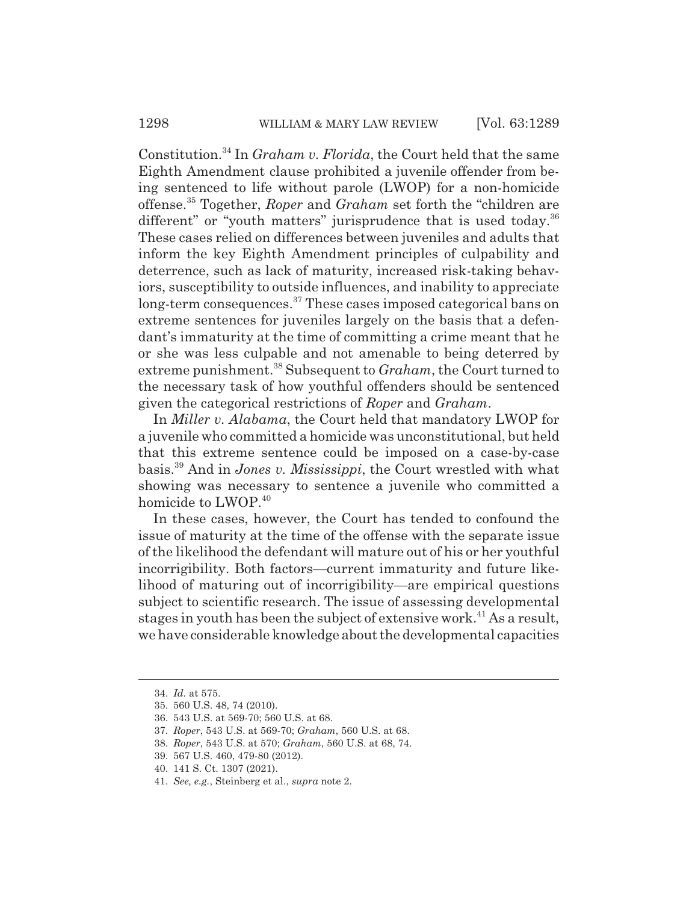Constitution.34 In *Graham v. Florida*, the Court held that the same Eighth Amendment clause prohibited a juvenile offender from being sentenced to life without parole (LWOP) for a non-homicide offense.35 Together, *Roper* and *Graham* set forth the "children are different" or "youth matters" jurisprudence that is used today. $36$ These cases relied on differences between juveniles and adults that inform the key Eighth Amendment principles of culpability and deterrence, such as lack of maturity, increased risk-taking behaviors, susceptibility to outside influences, and inability to appreciate long-term consequences.<sup>37</sup> These cases imposed categorical bans on extreme sentences for juveniles largely on the basis that a defendant's immaturity at the time of committing a crime meant that he or she was less culpable and not amenable to being deterred by extreme punishment.38 Subsequent to *Graham*, the Court turned to the necessary task of how youthful offenders should be sentenced given the categorical restrictions of *Roper* and *Graham*.

In *Miller v. Alabama*, the Court held that mandatory LWOP for a juvenile who committed a homicide was unconstitutional, but held that this extreme sentence could be imposed on a case-by-case basis.39 And in *Jones v. Mississippi*, the Court wrestled with what showing was necessary to sentence a juvenile who committed a homicide to LWOP.<sup>40</sup>

In these cases, however, the Court has tended to confound the issue of maturity at the time of the offense with the separate issue of the likelihood the defendant will mature out of his or her youthful incorrigibility. Both factors—current immaturity and future likelihood of maturing out of incorrigibility—are empirical questions subject to scientific research. The issue of assessing developmental stages in youth has been the subject of extensive work.<sup>41</sup> As a result, we have considerable knowledge about the developmental capacities

<sup>34.</sup> *Id.* at 575.

<sup>35. 560</sup> U.S. 48, 74 (2010).

<sup>36. 543</sup> U.S. at 569-70; 560 U.S. at 68.

<sup>37.</sup> *Roper*, 543 U.S. at 569-70; *Graham*, 560 U.S. at 68.

<sup>38.</sup> *Roper*, 543 U.S. at 570; *Graham*, 560 U.S. at 68, 74.

<sup>39. 567</sup> U.S. 460, 479-80 (2012).

<sup>40. 141</sup> S. Ct. 1307 (2021).

<sup>41.</sup> *See, e.g.*, Steinberg et al., *supra* note 2.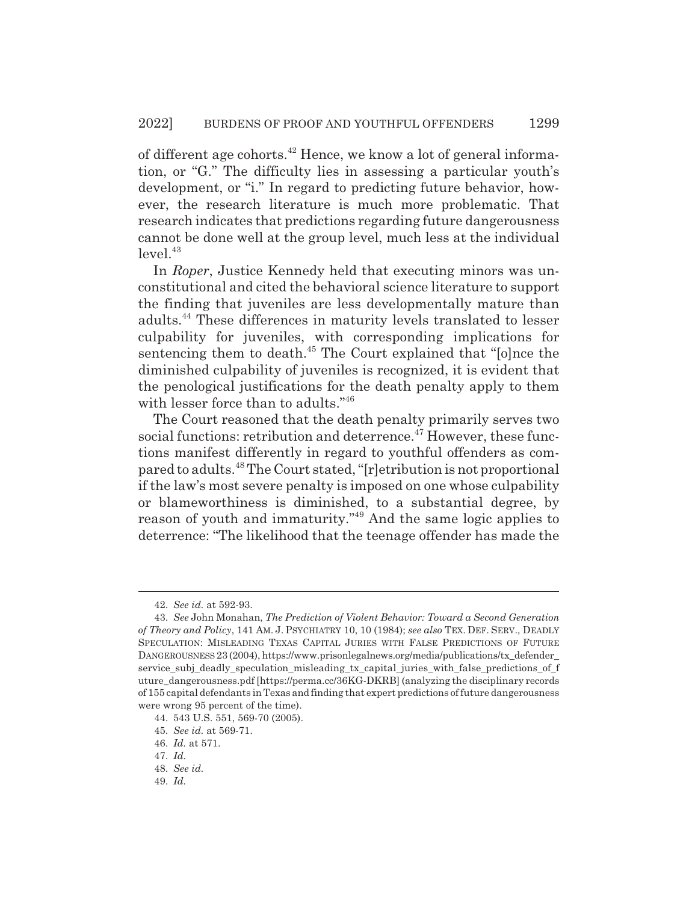of different age cohorts.42 Hence, we know a lot of general information, or "G." The difficulty lies in assessing a particular youth's development, or "i." In regard to predicting future behavior, however, the research literature is much more problematic. That research indicates that predictions regarding future dangerousness cannot be done well at the group level, much less at the individual  $level.<sup>43</sup>$ 

In *Roper*, Justice Kennedy held that executing minors was unconstitutional and cited the behavioral science literature to support the finding that juveniles are less developmentally mature than adults.44 These differences in maturity levels translated to lesser culpability for juveniles, with corresponding implications for sentencing them to death.<sup>45</sup> The Court explained that "[o]nce the diminished culpability of juveniles is recognized, it is evident that the penological justifications for the death penalty apply to them with lesser force than to adults."<sup>46</sup>

The Court reasoned that the death penalty primarily serves two social functions: retribution and deterrence.<sup>47</sup> However, these functions manifest differently in regard to youthful offenders as compared to adults.48 The Court stated, "[r]etribution is not proportional if the law's most severe penalty is imposed on one whose culpability or blameworthiness is diminished, to a substantial degree, by reason of youth and immaturity."49 And the same logic applies to deterrence: "The likelihood that the teenage offender has made the

<sup>42.</sup> *See id.* at 592-93.

<sup>43.</sup> *See* John Monahan, *The Prediction of Violent Behavior: Toward a Second Generation of Theory and Policy*, 141 AM. J. PSYCHIATRY 10, 10 (1984); *see also* TEX. DEF. SERV., DEADLY SPECULATION: MISLEADING TEXAS CAPITAL JURIES WITH FALSE PREDICTIONS OF FUTURE DANGEROUSNESS 23 (2004), https://www.prisonlegalnews.org/media/publications/tx\_defender\_ service\_subj\_deadly\_speculation\_misleading\_tx\_capital\_juries\_with\_false\_predictions\_of\_f uture\_dangerousness.pdf [https://perma.cc/36KG-DKRB] (analyzing the disciplinary records of 155 capital defendants in Texas and finding that expert predictions of future dangerousness were wrong 95 percent of the time).

<sup>44. 543</sup> U.S. 551, 569-70 (2005).

<sup>45.</sup> *See id.* at 569-71.

<sup>46.</sup> *Id.* at 571.

<sup>47.</sup> *Id.*

<sup>48.</sup> *See id.*

<sup>49.</sup> *Id.*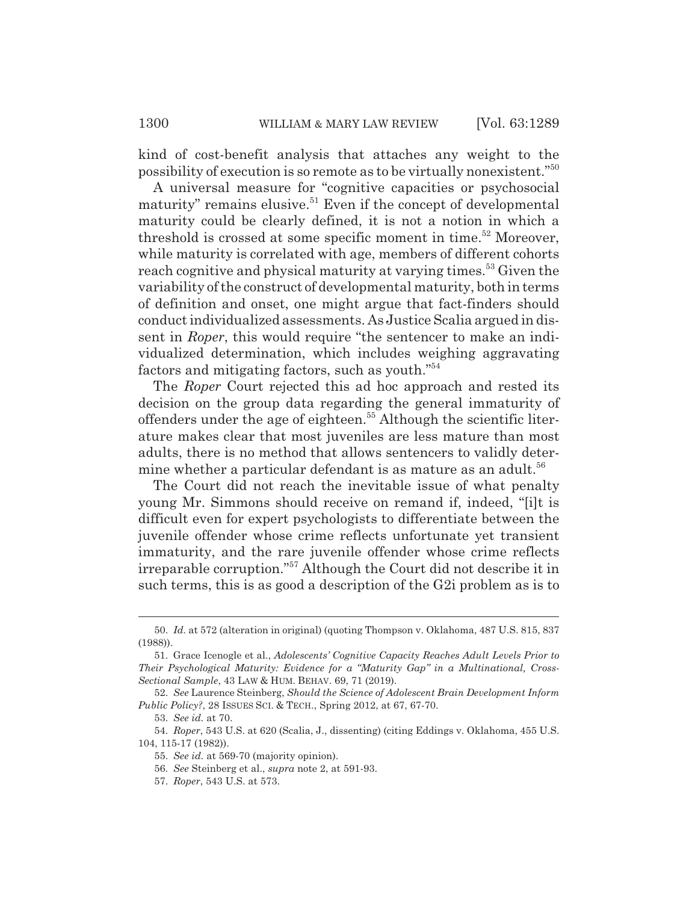kind of cost-benefit analysis that attaches any weight to the possibility of execution is so remote as to be virtually nonexistent."50

A universal measure for "cognitive capacities or psychosocial maturity" remains elusive.<sup>51</sup> Even if the concept of developmental maturity could be clearly defined, it is not a notion in which a threshold is crossed at some specific moment in time.<sup>52</sup> Moreover, while maturity is correlated with age, members of different cohorts reach cognitive and physical maturity at varying times.<sup>53</sup> Given the variability of the construct of developmental maturity, both in terms of definition and onset, one might argue that fact-finders should conduct individualized assessments. As Justice Scalia argued in dissent in *Roper*, this would require "the sentencer to make an individualized determination, which includes weighing aggravating factors and mitigating factors, such as youth."54

The *Roper* Court rejected this ad hoc approach and rested its decision on the group data regarding the general immaturity of offenders under the age of eighteen.<sup>55</sup> Although the scientific literature makes clear that most juveniles are less mature than most adults, there is no method that allows sentencers to validly determine whether a particular defendant is as mature as an adult.<sup>56</sup>

The Court did not reach the inevitable issue of what penalty young Mr. Simmons should receive on remand if, indeed, "[i]t is difficult even for expert psychologists to differentiate between the juvenile offender whose crime reflects unfortunate yet transient immaturity, and the rare juvenile offender whose crime reflects irreparable corruption."57 Although the Court did not describe it in such terms, this is as good a description of the G2i problem as is to

<sup>50.</sup> *Id.* at 572 (alteration in original) (quoting Thompson v. Oklahoma, 487 U.S. 815, 837 (1988)).

<sup>51.</sup> Grace Icenogle et al., *Adolescents' Cognitive Capacity Reaches Adult Levels Prior to Their Psychological Maturity: Evidence for a "Maturity Gap" in a Multinational, Cross-Sectional Sample*, 43 LAW & HUM. BEHAV. 69, 71 (2019).

<sup>52.</sup> *See* Laurence Steinberg, *Should the Science of Adolescent Brain Development Inform Public Policy?*, 28 ISSUES SCI.&TECH., Spring 2012, at 67, 67-70.

<sup>53.</sup> *See id.* at 70.

<sup>54.</sup> *Roper*, 543 U.S. at 620 (Scalia, J., dissenting) (citing Eddings v. Oklahoma, 455 U.S. 104, 115-17 (1982)).

<sup>55.</sup> *See id.* at 569-70 (majority opinion).

<sup>56.</sup> *See* Steinberg et al., *supra* note 2, at 591-93.

<sup>57.</sup> *Roper*, 543 U.S. at 573.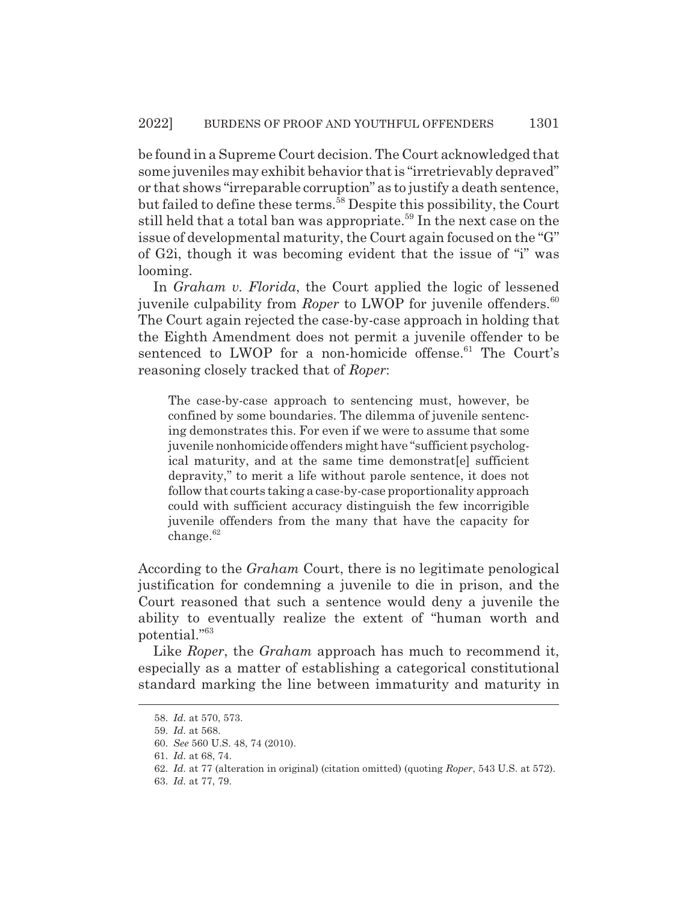be found in a Supreme Court decision. The Court acknowledged that some juveniles may exhibit behavior that is "irretrievably depraved" or that shows "irreparable corruption" as to justify a death sentence, but failed to define these terms.<sup>58</sup> Despite this possibility, the Court still held that a total ban was appropriate.<sup>59</sup> In the next case on the issue of developmental maturity, the Court again focused on the "G" of G2i, though it was becoming evident that the issue of "i" was looming.

In *Graham v. Florida*, the Court applied the logic of lessened juvenile culpability from *Roper* to LWOP for juvenile offenders.<sup>60</sup> The Court again rejected the case-by-case approach in holding that the Eighth Amendment does not permit a juvenile offender to be sentenced to LWOP for a non-homicide offense.<sup>61</sup> The Court's reasoning closely tracked that of *Roper*:

The case-by-case approach to sentencing must, however, be confined by some boundaries. The dilemma of juvenile sentencing demonstrates this. For even if we were to assume that some juvenile nonhomicide offenders might have "sufficient psychological maturity, and at the same time demonstrat[e] sufficient depravity," to merit a life without parole sentence, it does not follow that courts taking a case-by-case proportionality approach could with sufficient accuracy distinguish the few incorrigible juvenile offenders from the many that have the capacity for  $change.<sup>62</sup>$ 

According to the *Graham* Court, there is no legitimate penological justification for condemning a juvenile to die in prison, and the Court reasoned that such a sentence would deny a juvenile the ability to eventually realize the extent of "human worth and potential."63

Like *Roper*, the *Graham* approach has much to recommend it, especially as a matter of establishing a categorical constitutional standard marking the line between immaturity and maturity in

<sup>58.</sup> *Id.* at 570, 573.

<sup>59.</sup> *Id.* at 568.

<sup>60.</sup> *See* 560 U.S. 48, 74 (2010).

<sup>61.</sup> *Id.* at 68, 74.

<sup>62.</sup> *Id.* at 77 (alteration in original) (citation omitted) (quoting *Roper*, 543 U.S. at 572).

<sup>63.</sup> *Id.* at 77, 79.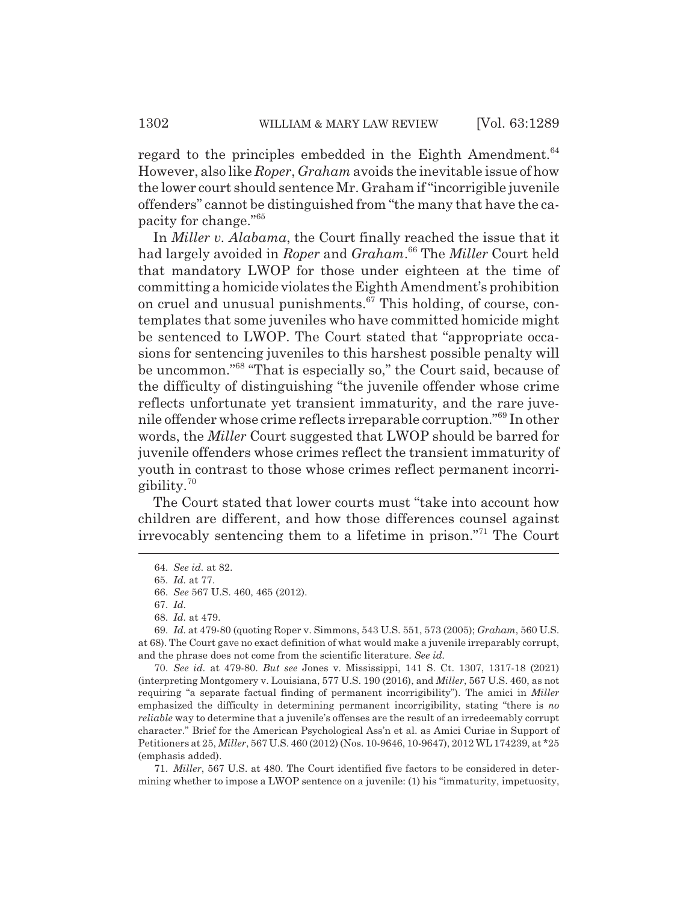regard to the principles embedded in the Eighth Amendment.<sup>64</sup> However, also like *Roper*, *Graham* avoids the inevitable issue of how the lower court should sentence Mr. Graham if "incorrigible juvenile offenders" cannot be distinguished from "the many that have the capacity for change."65

In *Miller v. Alabama*, the Court finally reached the issue that it had largely avoided in *Roper* and *Graham*. 66 The *Miller* Court held that mandatory LWOP for those under eighteen at the time of committing a homicide violates the Eighth Amendment's prohibition on cruel and unusual punishments. $\frac{67}{7}$  This holding, of course, contemplates that some juveniles who have committed homicide might be sentenced to LWOP. The Court stated that "appropriate occasions for sentencing juveniles to this harshest possible penalty will be uncommon."68 "That is especially so," the Court said, because of the difficulty of distinguishing "the juvenile offender whose crime reflects unfortunate yet transient immaturity, and the rare juvenile offender whose crime reflects irreparable corruption."69 In other words, the *Miller* Court suggested that LWOP should be barred for juvenile offenders whose crimes reflect the transient immaturity of youth in contrast to those whose crimes reflect permanent incorrigibility.<sup>70</sup>

The Court stated that lower courts must "take into account how children are different, and how those differences counsel against irrevocably sentencing them to a lifetime in prison."71 The Court

70. *See id.* at 479-80. *But see* Jones v. Mississippi, 141 S. Ct. 1307, 1317-18 (2021) (interpreting Montgomery v. Louisiana, 577 U.S. 190 (2016), and *Miller*, 567 U.S. 460, as not requiring "a separate factual finding of permanent incorrigibility"). The amici in *Miller* emphasized the difficulty in determining permanent incorrigibility, stating "there is *no reliable* way to determine that a juvenile's offenses are the result of an irredeemably corrupt character." Brief for the American Psychological Ass'n et al. as Amici Curiae in Support of Petitioners at 25, *Miller*, 567 U.S. 460 (2012) (Nos. 10-9646, 10-9647), 2012 WL 174239, at \*25 (emphasis added).

71. *Miller*, 567 U.S. at 480. The Court identified five factors to be considered in determining whether to impose a LWOP sentence on a juvenile: (1) his "immaturity, impetuosity,

<sup>64.</sup> *See id.* at 82.

<sup>65.</sup> *Id.* at 77.

<sup>66.</sup> *See* 567 U.S. 460, 465 (2012).

<sup>67.</sup> *Id.*

<sup>68.</sup> *Id.* at 479.

<sup>69.</sup> *Id.* at 479-80 (quoting Roper v. Simmons, 543 U.S. 551, 573 (2005); *Graham*, 560 U.S. at 68). The Court gave no exact definition of what would make a juvenile irreparably corrupt, and the phrase does not come from the scientific literature. *See id.*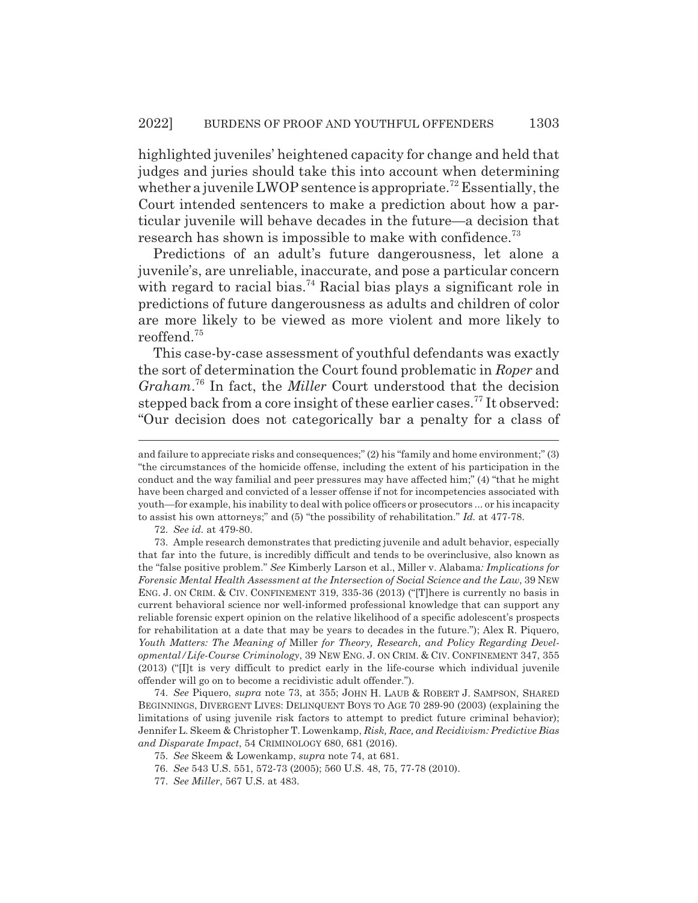highlighted juveniles' heightened capacity for change and held that judges and juries should take this into account when determining whether a juvenile LWOP sentence is appropriate.<sup>72</sup> Essentially, the Court intended sentencers to make a prediction about how a particular juvenile will behave decades in the future—a decision that research has shown is impossible to make with confidence.<sup>73</sup>

Predictions of an adult's future dangerousness, let alone a juvenile's, are unreliable, inaccurate, and pose a particular concern with regard to racial bias.<sup>74</sup> Racial bias plays a significant role in predictions of future dangerousness as adults and children of color are more likely to be viewed as more violent and more likely to reoffend.<sup>75</sup>

This case-by-case assessment of youthful defendants was exactly the sort of determination the Court found problematic in *Roper* and *Graham*. 76 In fact, the *Miller* Court understood that the decision stepped back from a core insight of these earlier cases.<sup>77</sup> It observed: "Our decision does not categorically bar a penalty for a class of

74. *See* Piquero, *supra* note 73, at 355; JOHN H. LAUB & ROBERT J. SAMPSON, SHARED BEGINNINGS, DIVERGENT LIVES: DELINQUENT BOYS TO AGE 70 289-90 (2003) (explaining the limitations of using juvenile risk factors to attempt to predict future criminal behavior); Jennifer L. Skeem & Christopher T. Lowenkamp, *Risk, Race, and Recidivism: Predictive Bias and Disparate Impact*, 54 CRIMINOLOGY 680, 681 (2016).

- 76. *See* 543 U.S. 551, 572-73 (2005); 560 U.S. 48, 75, 77-78 (2010).
- 77. *See Miller*, 567 U.S. at 483.

and failure to appreciate risks and consequences;" (2) his "family and home environment;" (3) "the circumstances of the homicide offense, including the extent of his participation in the conduct and the way familial and peer pressures may have affected him;" (4) "that he might have been charged and convicted of a lesser offense if not for incompetencies associated with youth—for example, his inability to deal with police officers or prosecutors ... or his incapacity to assist his own attorneys;" and (5) "the possibility of rehabilitation." *Id.* at 477-78.

<sup>72.</sup> *See id.* at 479-80.

<sup>73.</sup> Ample research demonstrates that predicting juvenile and adult behavior, especially that far into the future, is incredibly difficult and tends to be overinclusive, also known as the "false positive problem." *See* Kimberly Larson et al., Miller v. Alabama*: Implications for Forensic Mental Health Assessment at the Intersection of Social Science and the Law*, 39 NEW ENG. J. ON CRIM.&CIV. CONFINEMENT 319, 335-36 (2013) ("[T]here is currently no basis in current behavioral science nor well-informed professional knowledge that can support any reliable forensic expert opinion on the relative likelihood of a specific adolescent's prospects for rehabilitation at a date that may be years to decades in the future."); Alex R. Piquero, *Youth Matters: The Meaning of* Miller *for Theory, Research, and Policy Regarding Developmental/Life-Course Criminology*, 39 NEW ENG. J. ON CRIM.&CIV. CONFINEMENT 347, 355 (2013) ("[I]t is very difficult to predict early in the life-course which individual juvenile offender will go on to become a recidivistic adult offender.").

<sup>75.</sup> *See* Skeem & Lowenkamp, *supra* note 74, at 681.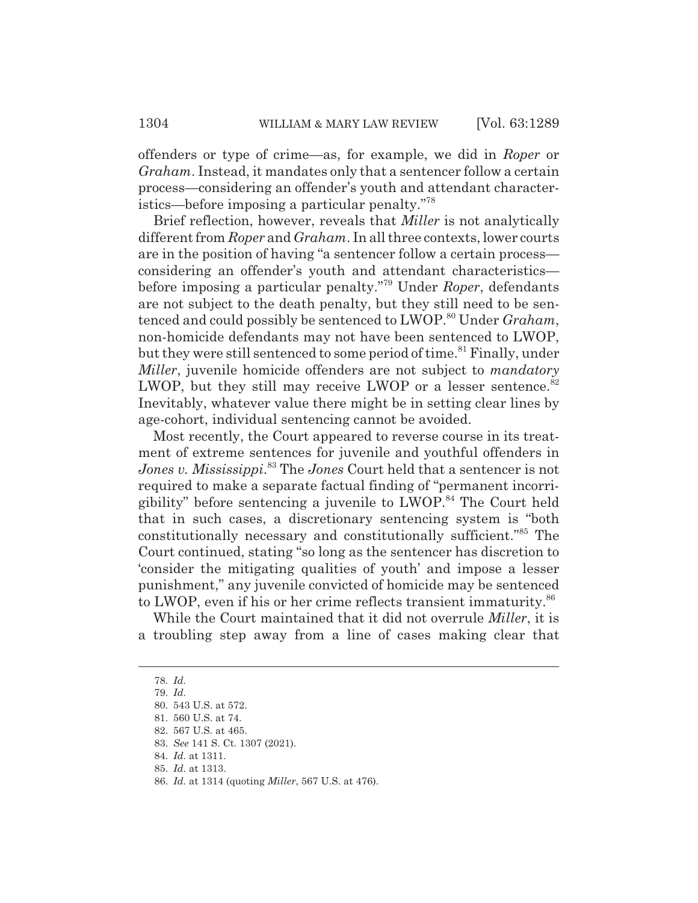offenders or type of crime—as, for example, we did in *Roper* or *Graham*. Instead, it mandates only that a sentencer follow a certain process—considering an offender's youth and attendant characteristics—before imposing a particular penalty."78

Brief reflection, however, reveals that *Miller* is not analytically different from *Roper* and *Graham*. In all three contexts, lower courts are in the position of having "a sentencer follow a certain process considering an offender's youth and attendant characteristics before imposing a particular penalty."79 Under *Roper*, defendants are not subject to the death penalty, but they still need to be sentenced and could possibly be sentenced to LWOP.<sup>80</sup> Under *Graham*, non-homicide defendants may not have been sentenced to LWOP, but they were still sentenced to some period of time.<sup>81</sup> Finally, under *Miller*, juvenile homicide offenders are not subject to *mandatory* LWOP, but they still may receive LWOP or a lesser sentence. $82$ Inevitably, whatever value there might be in setting clear lines by age-cohort, individual sentencing cannot be avoided.

Most recently, the Court appeared to reverse course in its treatment of extreme sentences for juvenile and youthful offenders in *Jones v. Mississippi*. 83 The *Jones* Court held that a sentencer is not required to make a separate factual finding of "permanent incorrigibility" before sentencing a juvenile to LWOP.84 The Court held that in such cases, a discretionary sentencing system is "both constitutionally necessary and constitutionally sufficient."85 The Court continued, stating "so long as the sentencer has discretion to 'consider the mitigating qualities of youth' and impose a lesser punishment," any juvenile convicted of homicide may be sentenced to LWOP, even if his or her crime reflects transient immaturity.<sup>86</sup>

While the Court maintained that it did not overrule *Miller*, it is a troubling step away from a line of cases making clear that

<sup>78.</sup> *Id.*

<sup>79.</sup> *Id.*

<sup>80. 543</sup> U.S. at 572.

<sup>81. 560</sup> U.S. at 74.

<sup>82. 567</sup> U.S. at 465.

<sup>83.</sup> *See* 141 S. Ct. 1307 (2021).

<sup>84.</sup> *Id.* at 1311.

<sup>85.</sup> *Id.* at 1313.

<sup>86.</sup> *Id.* at 1314 (quoting *Miller*, 567 U.S. at 476).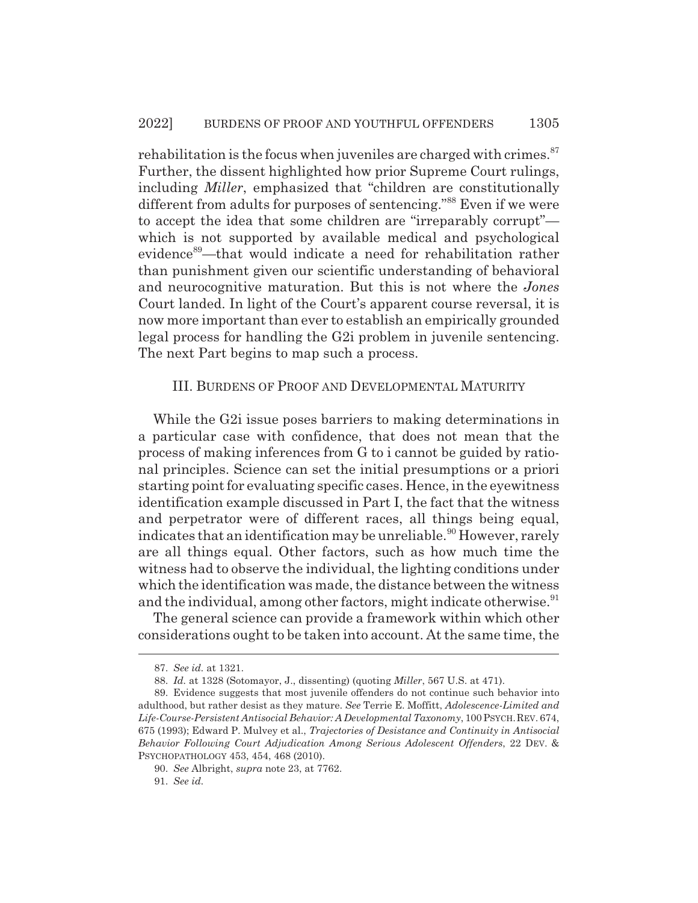rehabilitation is the focus when juveniles are charged with crimes. $87$ Further, the dissent highlighted how prior Supreme Court rulings, including *Miller*, emphasized that "children are constitutionally different from adults for purposes of sentencing."<sup>88</sup> Even if we were to accept the idea that some children are "irreparably corrupt" which is not supported by available medical and psychological evidence<sup>89</sup>—that would indicate a need for rehabilitation rather than punishment given our scientific understanding of behavioral and neurocognitive maturation. But this is not where the *Jones* Court landed. In light of the Court's apparent course reversal, it is now more important than ever to establish an empirically grounded legal process for handling the G2i problem in juvenile sentencing. The next Part begins to map such a process.

#### III. BURDENS OF PROOF AND DEVELOPMENTAL MATURITY

While the G2i issue poses barriers to making determinations in a particular case with confidence, that does not mean that the process of making inferences from G to i cannot be guided by rational principles. Science can set the initial presumptions or a priori starting point for evaluating specific cases. Hence, in the eyewitness identification example discussed in Part I, the fact that the witness and perpetrator were of different races, all things being equal, indicates that an identification may be unreliable.<sup>90</sup> However, rarely are all things equal. Other factors, such as how much time the witness had to observe the individual, the lighting conditions under which the identification was made, the distance between the witness and the individual, among other factors, might indicate otherwise.<sup>91</sup>

The general science can provide a framework within which other considerations ought to be taken into account. At the same time, the

<sup>87.</sup> *See id.* at 1321.

<sup>88.</sup> *Id.* at 1328 (Sotomayor, J., dissenting) (quoting *Miller*, 567 U.S. at 471).

<sup>89.</sup> Evidence suggests that most juvenile offenders do not continue such behavior into adulthood, but rather desist as they mature. *See* Terrie E. Moffitt, *Adolescence-Limited and Life-Course-Persistent Antisocial Behavior: A Developmental Taxonomy*, 100 PSYCH.REV. 674, 675 (1993); Edward P. Mulvey et al., *Trajectories of Desistance and Continuity in Antisocial Behavior Following Court Adjudication Among Serious Adolescent Offenders*, 22 DEV. & PSYCHOPATHOLOGY 453, 454, 468 (2010).

<sup>90.</sup> *See* Albright, *supra* note 23, at 7762.

<sup>91.</sup> *See id.*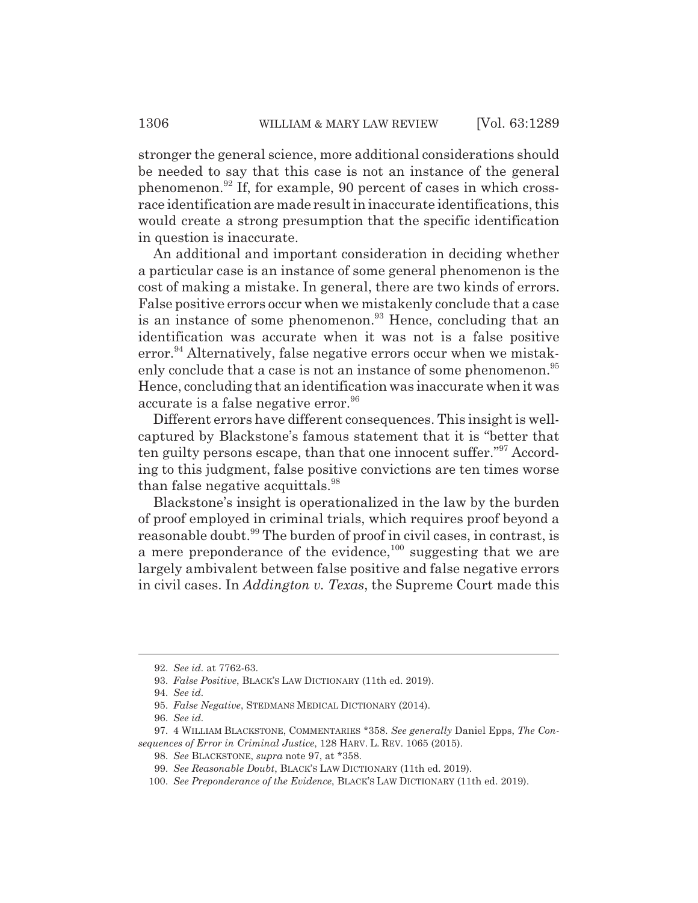stronger the general science, more additional considerations should be needed to say that this case is not an instance of the general phenomenon.92 If, for example, 90 percent of cases in which crossrace identification are made result in inaccurate identifications, this would create a strong presumption that the specific identification in question is inaccurate.

An additional and important consideration in deciding whether a particular case is an instance of some general phenomenon is the cost of making a mistake. In general, there are two kinds of errors. False positive errors occur when we mistakenly conclude that a case is an instance of some phenomenon.<sup>93</sup> Hence, concluding that an identification was accurate when it was not is a false positive error.<sup>94</sup> Alternatively, false negative errors occur when we mistakenly conclude that a case is not an instance of some phenomenon.<sup>95</sup> Hence, concluding that an identification was inaccurate when it was accurate is a false negative error.<sup>96</sup>

Different errors have different consequences. This insight is wellcaptured by Blackstone's famous statement that it is "better that ten guilty persons escape, than that one innocent suffer."97 According to this judgment, false positive convictions are ten times worse than false negative acquittals.<sup>98</sup>

Blackstone's insight is operationalized in the law by the burden of proof employed in criminal trials, which requires proof beyond a reasonable doubt.<sup>99</sup> The burden of proof in civil cases, in contrast, is a mere preponderance of the evidence, $100$  suggesting that we are largely ambivalent between false positive and false negative errors in civil cases. In *Addington v. Texas*, the Supreme Court made this

<sup>92.</sup> *See id.* at 7762-63.

<sup>93.</sup> *False Positive*, BLACK'S LAW DICTIONARY (11th ed. 2019).

<sup>94.</sup> *See id.*

<sup>95.</sup> *False Negative*, STEDMANS MEDICAL DICTIONARY (2014).

<sup>96.</sup> *See id.*

<sup>97. 4</sup> WILLIAM BLACKSTONE, COMMENTARIES \*358. *See generally* Daniel Epps, *The Consequences of Error in Criminal Justice*, 128 HARV. L. REV. 1065 (2015).

<sup>98.</sup> *See* BLACKSTONE, *supra* note 97, at \*358.

<sup>99.</sup> *See Reasonable Doubt*, BLACK'S LAW DICTIONARY (11th ed. 2019).

<sup>100.</sup> *See Preponderance of the Evidence*, BLACK'S LAW DICTIONARY (11th ed. 2019).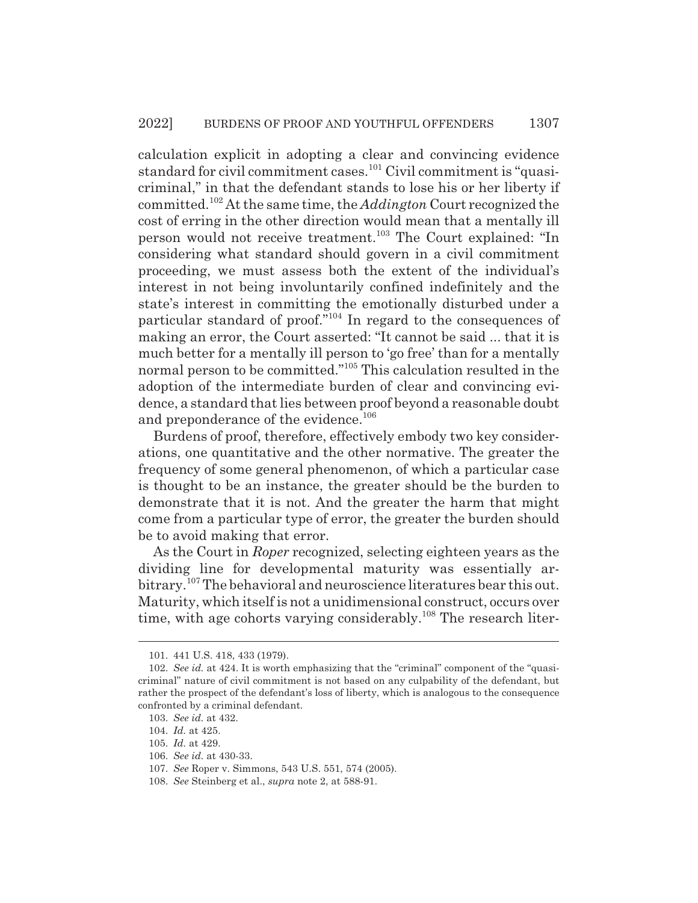calculation explicit in adopting a clear and convincing evidence standard for civil commitment cases.<sup>101</sup> Civil commitment is "quasicriminal," in that the defendant stands to lose his or her liberty if committed.102 At the same time, the *Addington* Court recognized the cost of erring in the other direction would mean that a mentally ill person would not receive treatment.103 The Court explained: "In considering what standard should govern in a civil commitment proceeding, we must assess both the extent of the individual's interest in not being involuntarily confined indefinitely and the state's interest in committing the emotionally disturbed under a particular standard of proof."104 In regard to the consequences of making an error, the Court asserted: "It cannot be said ... that it is much better for a mentally ill person to 'go free' than for a mentally normal person to be committed."105 This calculation resulted in the adoption of the intermediate burden of clear and convincing evidence, a standard that lies between proof beyond a reasonable doubt and preponderance of the evidence.<sup>106</sup>

Burdens of proof, therefore, effectively embody two key considerations, one quantitative and the other normative. The greater the frequency of some general phenomenon, of which a particular case is thought to be an instance, the greater should be the burden to demonstrate that it is not. And the greater the harm that might come from a particular type of error, the greater the burden should be to avoid making that error.

As the Court in *Roper* recognized, selecting eighteen years as the dividing line for developmental maturity was essentially arbitrary.<sup>107</sup> The behavioral and neuroscience literatures bear this out. Maturity, which itself is not a unidimensional construct, occurs over time, with age cohorts varying considerably.<sup>108</sup> The research liter-

<sup>101. 441</sup> U.S. 418, 433 (1979).

<sup>102.</sup> *See id.* at 424. It is worth emphasizing that the "criminal" component of the "quasicriminal" nature of civil commitment is not based on any culpability of the defendant, but rather the prospect of the defendant's loss of liberty, which is analogous to the consequence confronted by a criminal defendant.

<sup>103.</sup> *See id.* at 432.

<sup>104.</sup> *Id.* at 425.

<sup>105.</sup> *Id.* at 429.

<sup>106.</sup> *See id.* at 430-33.

<sup>107.</sup> *See* Roper v. Simmons, 543 U.S. 551, 574 (2005).

<sup>108.</sup> *See* Steinberg et al., *supra* note 2, at 588-91.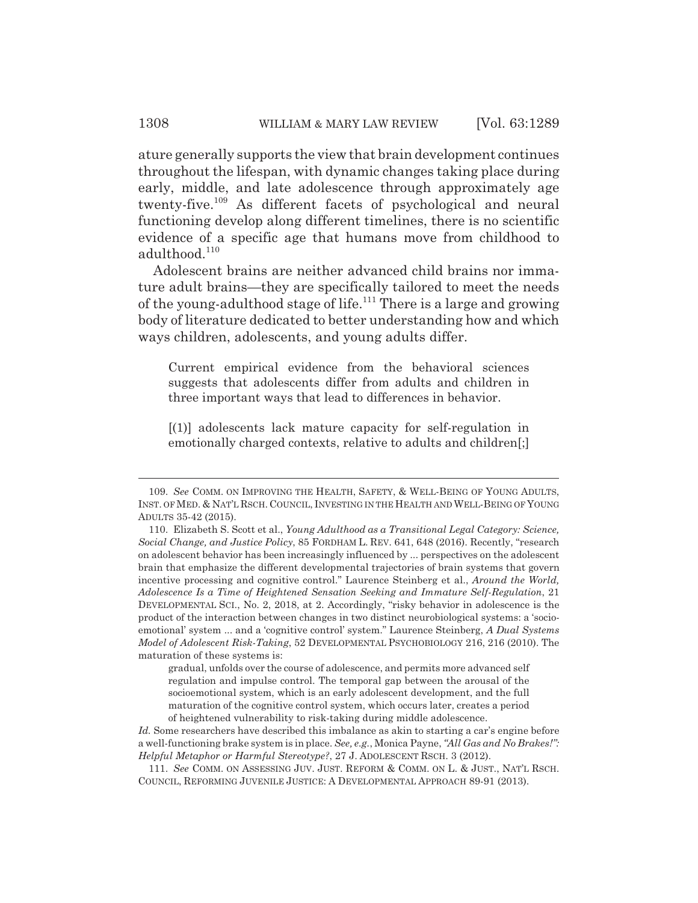ature generally supports the view that brain development continues throughout the lifespan, with dynamic changes taking place during early, middle, and late adolescence through approximately age twenty-five.109 As different facets of psychological and neural functioning develop along different timelines, there is no scientific evidence of a specific age that humans move from childhood to adulthood.<sup>110</sup>

Adolescent brains are neither advanced child brains nor immature adult brains—they are specifically tailored to meet the needs of the young-adulthood stage of life.<sup>111</sup> There is a large and growing body of literature dedicated to better understanding how and which ways children, adolescents, and young adults differ.

Current empirical evidence from the behavioral sciences suggests that adolescents differ from adults and children in three important ways that lead to differences in behavior.

[(1)] adolescents lack mature capacity for self-regulation in emotionally charged contexts, relative to adults and children[;]

gradual, unfolds over the course of adolescence, and permits more advanced self regulation and impulse control. The temporal gap between the arousal of the socioemotional system, which is an early adolescent development, and the full maturation of the cognitive control system, which occurs later, creates a period of heightened vulnerability to risk-taking during middle adolescence.

<sup>109.</sup> *See* COMM. ON IMPROVING THE HEALTH, SAFETY,&WELL-BEING OF YOUNG ADULTS, INST. OF MED.&NAT'L RSCH. COUNCIL, INVESTING IN THE HEALTH AND WELL-BEING OF YOUNG ADULTS 35-42 (2015).

<sup>110.</sup> Elizabeth S. Scott et al., *Young Adulthood as a Transitional Legal Category: Science, Social Change, and Justice Policy*, 85 FORDHAM L. REV. 641, 648 (2016). Recently, "research on adolescent behavior has been increasingly influenced by ... perspectives on the adolescent brain that emphasize the different developmental trajectories of brain systems that govern incentive processing and cognitive control." Laurence Steinberg et al., *Around the World, Adolescence Is a Time of Heightened Sensation Seeking and Immature Self-Regulation*, 21 DEVELOPMENTAL SCI., No. 2, 2018, at 2. Accordingly, "risky behavior in adolescence is the product of the interaction between changes in two distinct neurobiological systems: a 'socioemotional' system ... and a 'cognitive control' system." Laurence Steinberg, *A Dual Systems Model of Adolescent Risk-Taking*, 52 DEVELOPMENTAL PSYCHOBIOLOGY 216, 216 (2010). The maturation of these systems is:

*Id.* Some researchers have described this imbalance as akin to starting a car's engine before a well-functioning brake system is in place. *See, e.g.*, Monica Payne, *"All Gas and No Brakes!": Helpful Metaphor or Harmful Stereotype?*, 27 J. ADOLESCENT RSCH. 3 (2012).

<sup>111.</sup> *See* COMM. ON ASSESSING JUV. JUST. REFORM & COMM. ON L. & JUST., NAT'L RSCH. COUNCIL, REFORMING JUVENILE JUSTICE:ADEVELOPMENTAL APPROACH 89-91 (2013).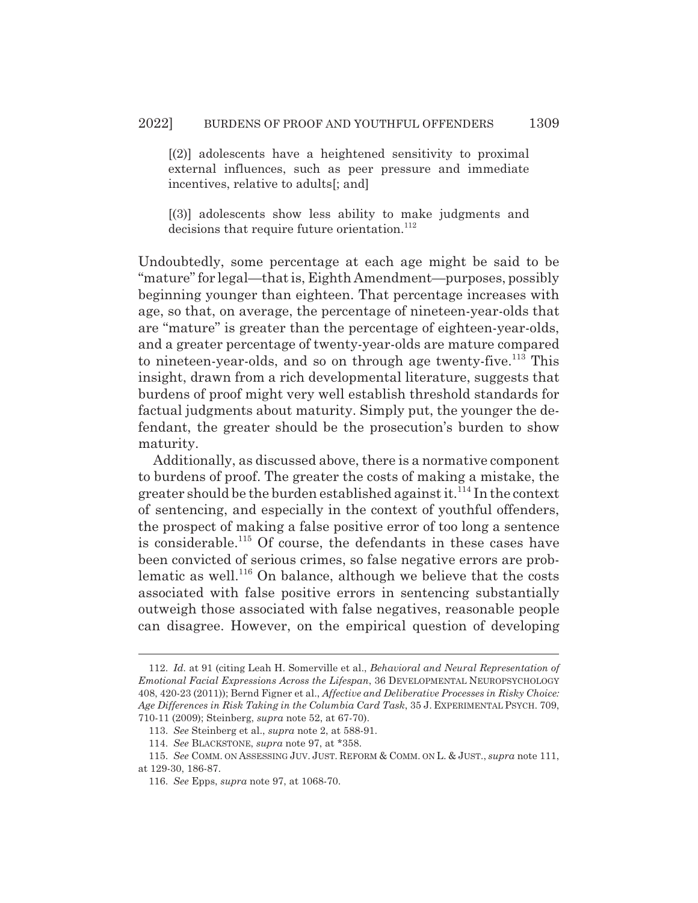[(2)] adolescents have a heightened sensitivity to proximal external influences, such as peer pressure and immediate incentives, relative to adults[; and]

[(3)] adolescents show less ability to make judgments and decisions that require future orientation.<sup>112</sup>

Undoubtedly, some percentage at each age might be said to be "mature" for legal—that is, Eighth Amendment—purposes, possibly beginning younger than eighteen. That percentage increases with age, so that, on average, the percentage of nineteen-year-olds that are "mature" is greater than the percentage of eighteen-year-olds, and a greater percentage of twenty-year-olds are mature compared to nineteen-year-olds, and so on through age twenty-five.<sup>113</sup> This insight, drawn from a rich developmental literature, suggests that burdens of proof might very well establish threshold standards for factual judgments about maturity. Simply put, the younger the defendant, the greater should be the prosecution's burden to show maturity.

Additionally, as discussed above, there is a normative component to burdens of proof. The greater the costs of making a mistake, the greater should be the burden established against it.<sup>114</sup> In the context of sentencing, and especially in the context of youthful offenders, the prospect of making a false positive error of too long a sentence is considerable.115 Of course, the defendants in these cases have been convicted of serious crimes, so false negative errors are problematic as well.<sup>116</sup> On balance, although we believe that the costs associated with false positive errors in sentencing substantially outweigh those associated with false negatives, reasonable people can disagree. However, on the empirical question of developing

<sup>112.</sup> *Id.* at 91 (citing Leah H. Somerville et al., *Behavioral and Neural Representation of Emotional Facial Expressions Across the Lifespan*, 36 DEVELOPMENTAL NEUROPSYCHOLOGY 408, 420-23 (2011)); Bernd Figner et al., *Affective and Deliberative Processes in Risky Choice: Age Differences in Risk Taking in the Columbia Card Task*, 35 J. EXPERIMENTAL PSYCH. 709, 710-11 (2009); Steinberg, *supra* note 52, at 67-70).

<sup>113.</sup> *See* Steinberg et al., *supra* note 2, at 588-91.

<sup>114.</sup> *See* BLACKSTONE, *supra* note 97, at \*358.

<sup>115.</sup> *See* COMM. ON ASSESSING JUV. JUST. REFORM & COMM. ON L. & JUST., *supra* note 111,

at 129-30, 186-87.

<sup>116.</sup> *See* Epps, *supra* note 97, at 1068-70.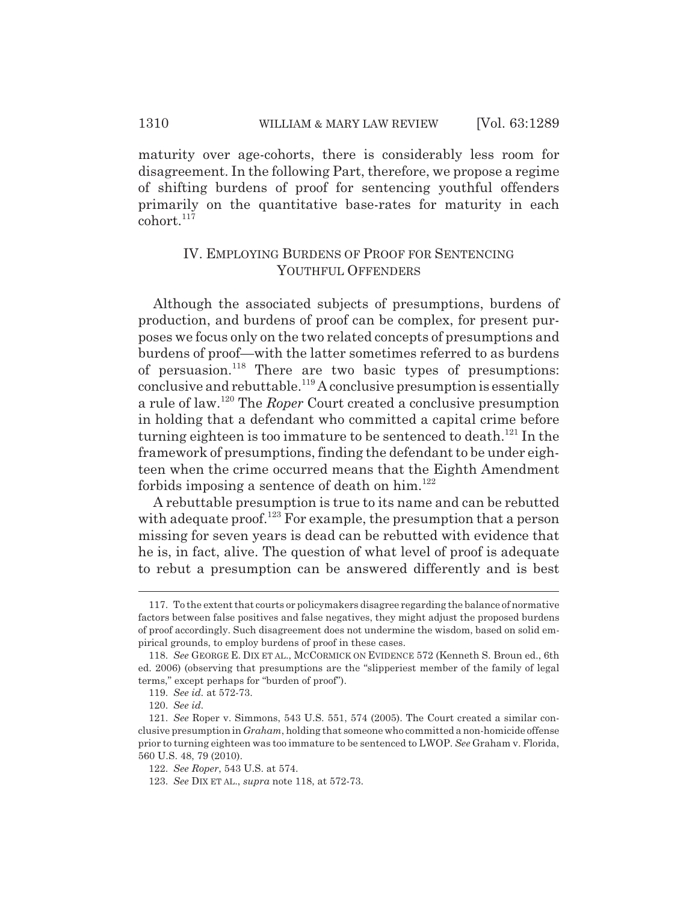maturity over age-cohorts, there is considerably less room for disagreement. In the following Part, therefore, we propose a regime of shifting burdens of proof for sentencing youthful offenders primarily on the quantitative base-rates for maturity in each cohort.<sup>117</sup>

## IV. EMPLOYING BURDENS OF PROOF FOR SENTENCING YOUTHFUL OFFENDERS

Although the associated subjects of presumptions, burdens of production, and burdens of proof can be complex, for present purposes we focus only on the two related concepts of presumptions and burdens of proof—with the latter sometimes referred to as burdens of persuasion.<sup>118</sup> There are two basic types of presumptions: conclusive and rebuttable.<sup>119</sup> A conclusive presumption is essentially a rule of law.120 The *Roper* Court created a conclusive presumption in holding that a defendant who committed a capital crime before turning eighteen is too immature to be sentenced to death.<sup>121</sup> In the framework of presumptions, finding the defendant to be under eighteen when the crime occurred means that the Eighth Amendment forbids imposing a sentence of death on  $\lim$ .<sup>122</sup>

A rebuttable presumption is true to its name and can be rebutted with adequate proof.<sup>123</sup> For example, the presumption that a person missing for seven years is dead can be rebutted with evidence that he is, in fact, alive. The question of what level of proof is adequate to rebut a presumption can be answered differently and is best

<sup>117.</sup> To the extent that courts or policymakers disagree regarding the balance of normative factors between false positives and false negatives, they might adjust the proposed burdens of proof accordingly. Such disagreement does not undermine the wisdom, based on solid empirical grounds, to employ burdens of proof in these cases.

<sup>118.</sup> *See* GEORGE E. DIX ET AL., MCCORMICK ON EVIDENCE 572 (Kenneth S. Broun ed., 6th ed. 2006) (observing that presumptions are the "slipperiest member of the family of legal terms," except perhaps for "burden of proof").

<sup>119.</sup> *See id.* at 572-73.

<sup>120.</sup> *See id.*

<sup>121.</sup> *See* Roper v. Simmons, 543 U.S. 551, 574 (2005). The Court created a similar conclusive presumption in *Graham*, holding that someone who committed a non-homicide offense prior to turning eighteen was too immature to be sentenced to LWOP. *See* Graham v. Florida, 560 U.S. 48, 79 (2010).

<sup>122.</sup> *See Roper*, 543 U.S. at 574.

<sup>123.</sup> *See* DIX ET AL., *supra* note 118, at 572-73.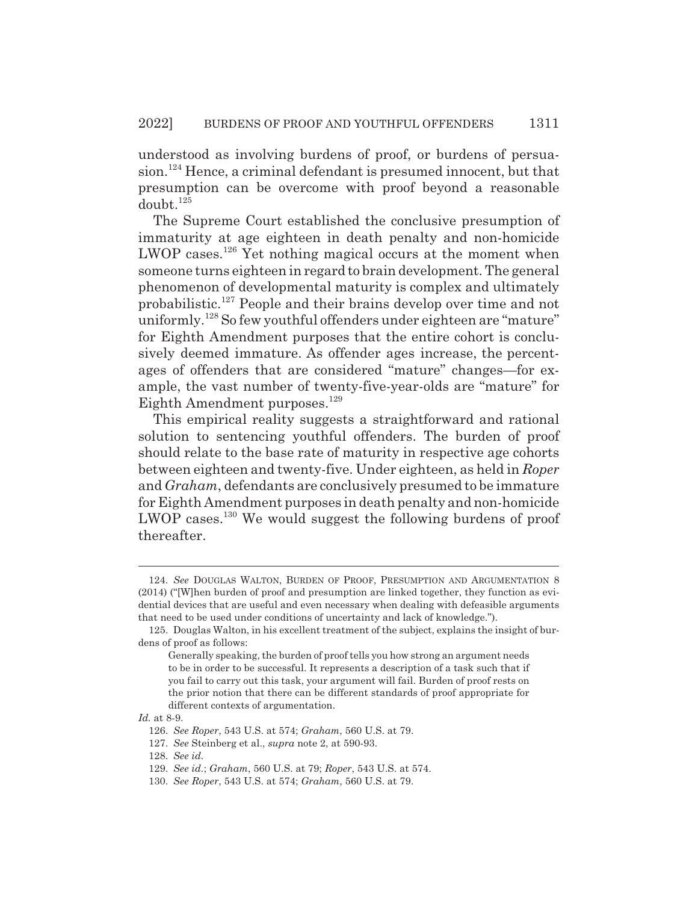understood as involving burdens of proof, or burdens of persuasion.<sup>124</sup> Hence, a criminal defendant is presumed innocent, but that presumption can be overcome with proof beyond a reasonable  $doubt.<sup>125</sup>$ 

The Supreme Court established the conclusive presumption of immaturity at age eighteen in death penalty and non-homicide LWOP cases.<sup>126</sup> Yet nothing magical occurs at the moment when someone turns eighteen in regard to brain development. The general phenomenon of developmental maturity is complex and ultimately probabilistic.127 People and their brains develop over time and not uniformly.<sup>128</sup> So few youthful offenders under eighteen are "mature" for Eighth Amendment purposes that the entire cohort is conclusively deemed immature. As offender ages increase, the percentages of offenders that are considered "mature" changes—for example, the vast number of twenty-five-year-olds are "mature" for Eighth Amendment purposes.<sup>129</sup>

This empirical reality suggests a straightforward and rational solution to sentencing youthful offenders. The burden of proof should relate to the base rate of maturity in respective age cohorts between eighteen and twenty-five. Under eighteen, as held in *Roper* and *Graham*, defendants are conclusively presumed to be immature for Eighth Amendment purposes in death penalty and non-homicide LWOP cases.<sup>130</sup> We would suggest the following burdens of proof thereafter.

<sup>124.</sup> *See* DOUGLAS WALTON, BURDEN OF PROOF, PRESUMPTION AND ARGUMENTATION 8 (2014) ("[W]hen burden of proof and presumption are linked together, they function as evidential devices that are useful and even necessary when dealing with defeasible arguments that need to be used under conditions of uncertainty and lack of knowledge.").

<sup>125.</sup> Douglas Walton, in his excellent treatment of the subject, explains the insight of burdens of proof as follows:

Generally speaking, the burden of proof tells you how strong an argument needs to be in order to be successful. It represents a description of a task such that if you fail to carry out this task, your argument will fail. Burden of proof rests on the prior notion that there can be different standards of proof appropriate for different contexts of argumentation.

*Id.* at 8-9.

<sup>126.</sup> *See Roper*, 543 U.S. at 574; *Graham*, 560 U.S. at 79.

<sup>127.</sup> *See* Steinberg et al., *supra* note 2, at 590-93.

<sup>128.</sup> *See id.*

<sup>129.</sup> *See id.*; *Graham*, 560 U.S. at 79; *Roper*, 543 U.S. at 574.

<sup>130.</sup> *See Roper*, 543 U.S. at 574; *Graham*, 560 U.S. at 79.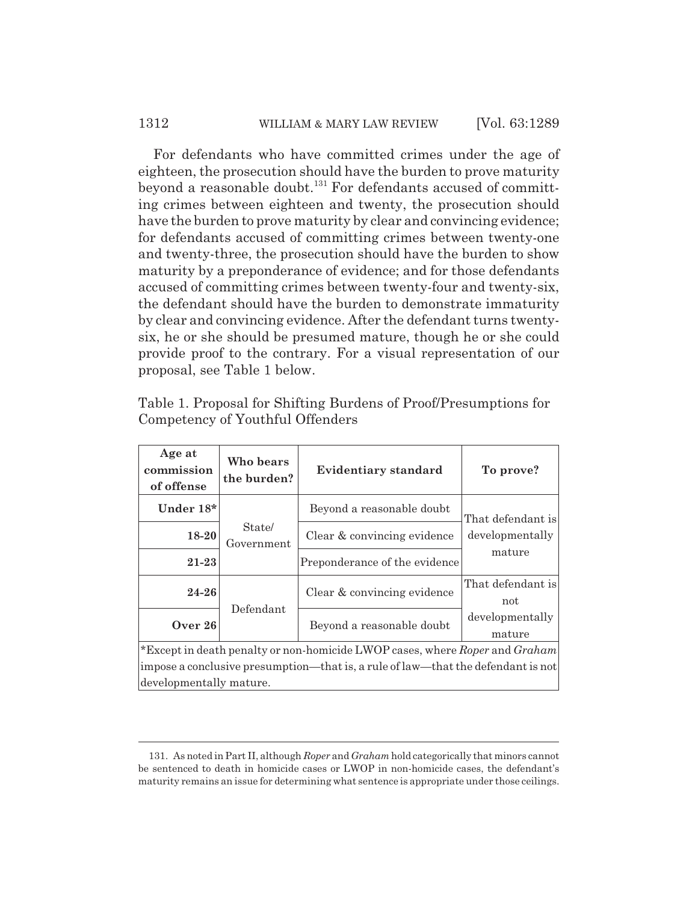#### 1312 WILLIAM & MARY LAW REVIEW [Vol. 63:1289]

For defendants who have committed crimes under the age of eighteen, the prosecution should have the burden to prove maturity beyond a reasonable doubt.<sup>131</sup> For defendants accused of committing crimes between eighteen and twenty, the prosecution should have the burden to prove maturity by clear and convincing evidence; for defendants accused of committing crimes between twenty-one and twenty-three, the prosecution should have the burden to show maturity by a preponderance of evidence; and for those defendants accused of committing crimes between twenty-four and twenty-six, the defendant should have the burden to demonstrate immaturity by clear and convincing evidence. After the defendant turns twentysix, he or she should be presumed mature, though he or she could provide proof to the contrary. For a visual representation of our proposal, see Table 1 below.

| Age at<br>commission<br>of offense                                               | Who bears<br>the burden? | <b>Evidentiary standard</b>   | To prove?                 |  |
|----------------------------------------------------------------------------------|--------------------------|-------------------------------|---------------------------|--|
| Under 18*                                                                        | State/<br>Government     | Beyond a reasonable doubt     | That defendant is         |  |
| 18-20                                                                            |                          | Clear & convincing evidence   | developmentally           |  |
| $21 - 23$                                                                        |                          | Preponderance of the evidence | mature                    |  |
| $24 - 26$                                                                        | Defendant                | Clear & convincing evidence   | That defendant is<br>not  |  |
| Over $26$                                                                        |                          | Beyond a reasonable doubt     | developmentally<br>mature |  |
| *Except in death penalty or non-homicide LWOP cases, where Roper and Graham      |                          |                               |                           |  |
| impose a conclusive presumption—that is, a rule of law—that the defendant is not |                          |                               |                           |  |
| developmentally mature.                                                          |                          |                               |                           |  |

Table 1. Proposal for Shifting Burdens of Proof/Presumptions for Competency of Youthful Offenders

<sup>131.</sup> As noted in Part II, although *Roper* and *Graham* hold categorically that minors cannot be sentenced to death in homicide cases or LWOP in non-homicide cases, the defendant's maturity remains an issue for determining what sentence is appropriate under those ceilings.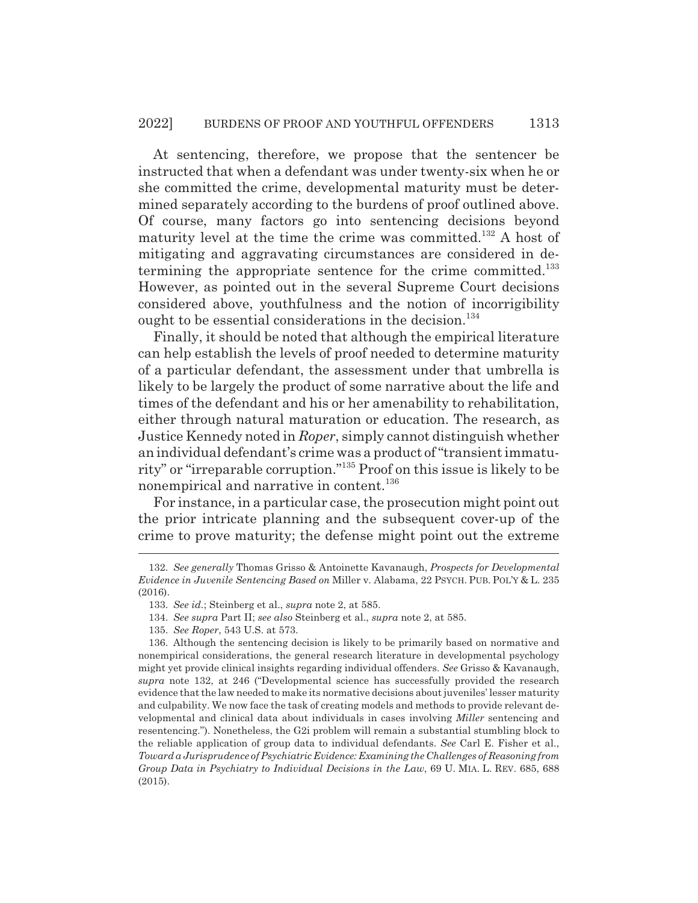At sentencing, therefore, we propose that the sentencer be instructed that when a defendant was under twenty-six when he or she committed the crime, developmental maturity must be determined separately according to the burdens of proof outlined above. Of course, many factors go into sentencing decisions beyond maturity level at the time the crime was committed.<sup>132</sup> A host of mitigating and aggravating circumstances are considered in determining the appropriate sentence for the crime committed.<sup>133</sup> However, as pointed out in the several Supreme Court decisions considered above, youthfulness and the notion of incorrigibility ought to be essential considerations in the decision. $134$ 

Finally, it should be noted that although the empirical literature can help establish the levels of proof needed to determine maturity of a particular defendant, the assessment under that umbrella is likely to be largely the product of some narrative about the life and times of the defendant and his or her amenability to rehabilitation, either through natural maturation or education. The research, as Justice Kennedy noted in *Roper*, simply cannot distinguish whether an individual defendant's crime was a product of "transient immaturity" or "irreparable corruption."135 Proof on this issue is likely to be nonempirical and narrative in content.<sup>136</sup>

For instance, in a particular case, the prosecution might point out the prior intricate planning and the subsequent cover-up of the crime to prove maturity; the defense might point out the extreme

- 134. *See supra* Part II; *see also* Steinberg et al., *supra* note 2, at 585.
- 135. *See Roper*, 543 U.S. at 573.

<sup>132.</sup> *See generally* Thomas Grisso & Antoinette Kavanaugh, *Prospects for Developmental Evidence in Juvenile Sentencing Based on* Miller v. Alabama, 22 PSYCH. PUB. POL'Y & L. 235  $(2016)$ .

<sup>133.</sup> *See id.*; Steinberg et al., *supra* note 2, at 585.

<sup>136.</sup> Although the sentencing decision is likely to be primarily based on normative and nonempirical considerations, the general research literature in developmental psychology might yet provide clinical insights regarding individual offenders. *See* Grisso & Kavanaugh, *supra* note 132, at 246 ("Developmental science has successfully provided the research evidence that the law needed to make its normative decisions about juveniles' lesser maturity and culpability. We now face the task of creating models and methods to provide relevant developmental and clinical data about individuals in cases involving *Miller* sentencing and resentencing."). Nonetheless, the G2i problem will remain a substantial stumbling block to the reliable application of group data to individual defendants. *See* Carl E. Fisher et al., *Toward a Jurisprudence of Psychiatric Evidence: Examining the Challenges of Reasoning from Group Data in Psychiatry to Individual Decisions in the Law*, 69 U. MIA. L. REV. 685, 688 (2015).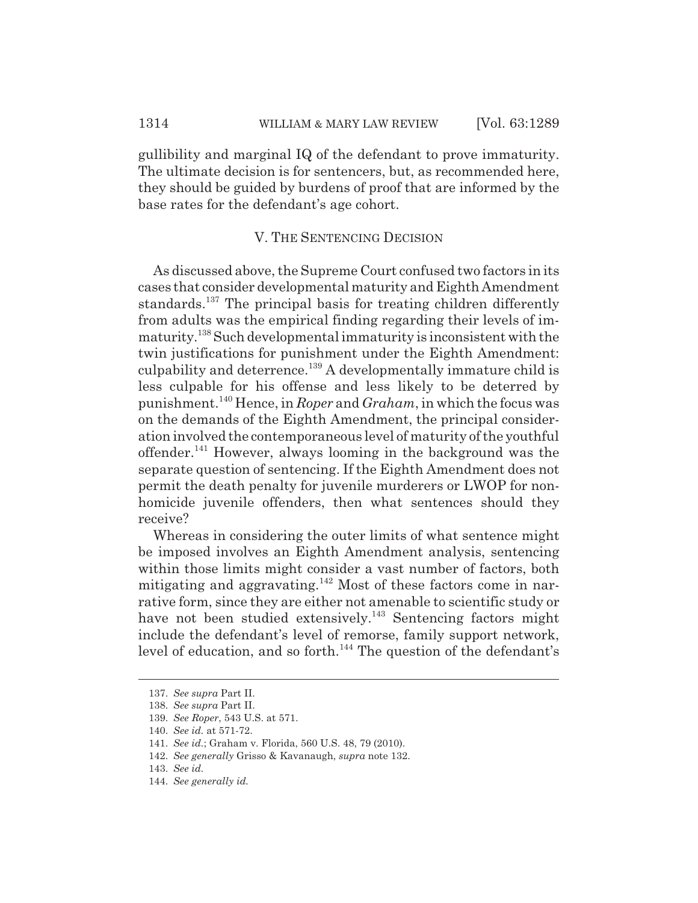gullibility and marginal IQ of the defendant to prove immaturity. The ultimate decision is for sentencers, but, as recommended here, they should be guided by burdens of proof that are informed by the base rates for the defendant's age cohort.

#### V. THE SENTENCING DECISION

As discussed above, the Supreme Court confused two factors in its cases that consider developmental maturity and Eighth Amendment standards.<sup>137</sup> The principal basis for treating children differently from adults was the empirical finding regarding their levels of immaturity.138 Such developmental immaturity is inconsistent with the twin justifications for punishment under the Eighth Amendment: culpability and deterrence.<sup>139</sup> A developmentally immature child is less culpable for his offense and less likely to be deterred by punishment.140 Hence, in *Roper* and *Graham*, in which the focus was on the demands of the Eighth Amendment, the principal consideration involved the contemporaneous level of maturity of the youthful offender.141 However, always looming in the background was the separate question of sentencing. If the Eighth Amendment does not permit the death penalty for juvenile murderers or LWOP for nonhomicide juvenile offenders, then what sentences should they receive?

Whereas in considering the outer limits of what sentence might be imposed involves an Eighth Amendment analysis, sentencing within those limits might consider a vast number of factors, both mitigating and aggravating.142 Most of these factors come in narrative form, since they are either not amenable to scientific study or have not been studied extensively.<sup>143</sup> Sentencing factors might include the defendant's level of remorse, family support network, level of education, and so forth.<sup>144</sup> The question of the defendant's

<sup>137.</sup> *See supra* Part II.

<sup>138.</sup> *See supra* Part II.

<sup>139.</sup> *See Roper*, 543 U.S. at 571.

<sup>140.</sup> *See id.* at 571-72.

<sup>141.</sup> *See id.*; Graham v. Florida, 560 U.S. 48, 79 (2010).

<sup>142.</sup> *See generally* Grisso & Kavanaugh, *supra* note 132.

<sup>143.</sup> *See id.*

<sup>144.</sup> *See generally id.*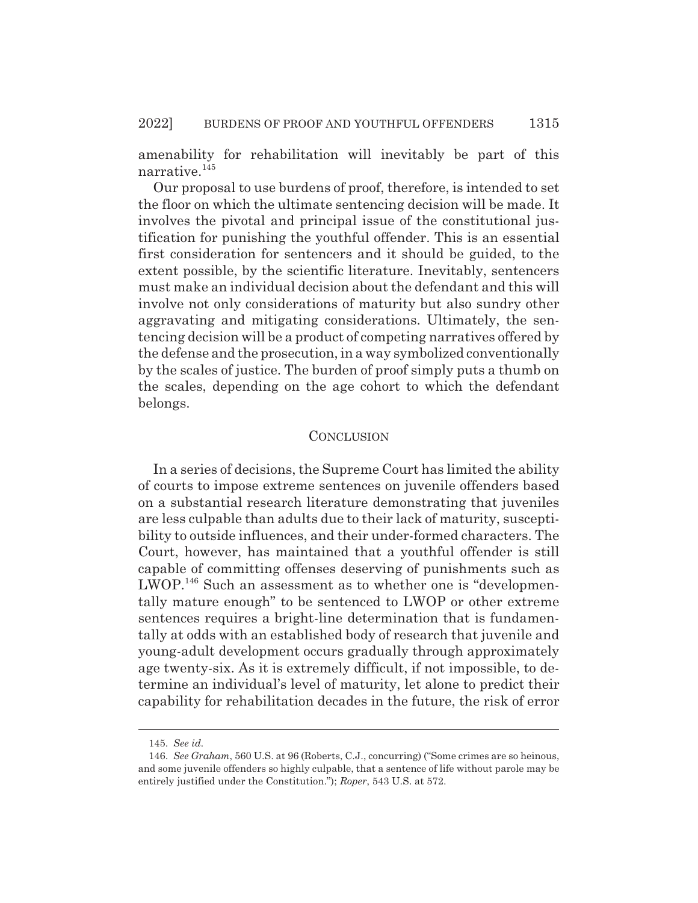amenability for rehabilitation will inevitably be part of this narrative.<sup>145</sup>

Our proposal to use burdens of proof, therefore, is intended to set the floor on which the ultimate sentencing decision will be made. It involves the pivotal and principal issue of the constitutional justification for punishing the youthful offender. This is an essential first consideration for sentencers and it should be guided, to the extent possible, by the scientific literature. Inevitably, sentencers must make an individual decision about the defendant and this will involve not only considerations of maturity but also sundry other aggravating and mitigating considerations. Ultimately, the sentencing decision will be a product of competing narratives offered by the defense and the prosecution, in a way symbolized conventionally by the scales of justice. The burden of proof simply puts a thumb on the scales, depending on the age cohort to which the defendant belongs.

#### **CONCLUSION**

In a series of decisions, the Supreme Court has limited the ability of courts to impose extreme sentences on juvenile offenders based on a substantial research literature demonstrating that juveniles are less culpable than adults due to their lack of maturity, susceptibility to outside influences, and their under-formed characters. The Court, however, has maintained that a youthful offender is still capable of committing offenses deserving of punishments such as LWOP.146 Such an assessment as to whether one is "developmentally mature enough" to be sentenced to LWOP or other extreme sentences requires a bright-line determination that is fundamentally at odds with an established body of research that juvenile and young-adult development occurs gradually through approximately age twenty-six. As it is extremely difficult, if not impossible, to determine an individual's level of maturity, let alone to predict their capability for rehabilitation decades in the future, the risk of error

<sup>145.</sup> *See id.*

<sup>146.</sup> *See Graham*, 560 U.S. at 96 (Roberts, C.J., concurring) ("Some crimes are so heinous, and some juvenile offenders so highly culpable, that a sentence of life without parole may be entirely justified under the Constitution."); *Roper*, 543 U.S. at 572.